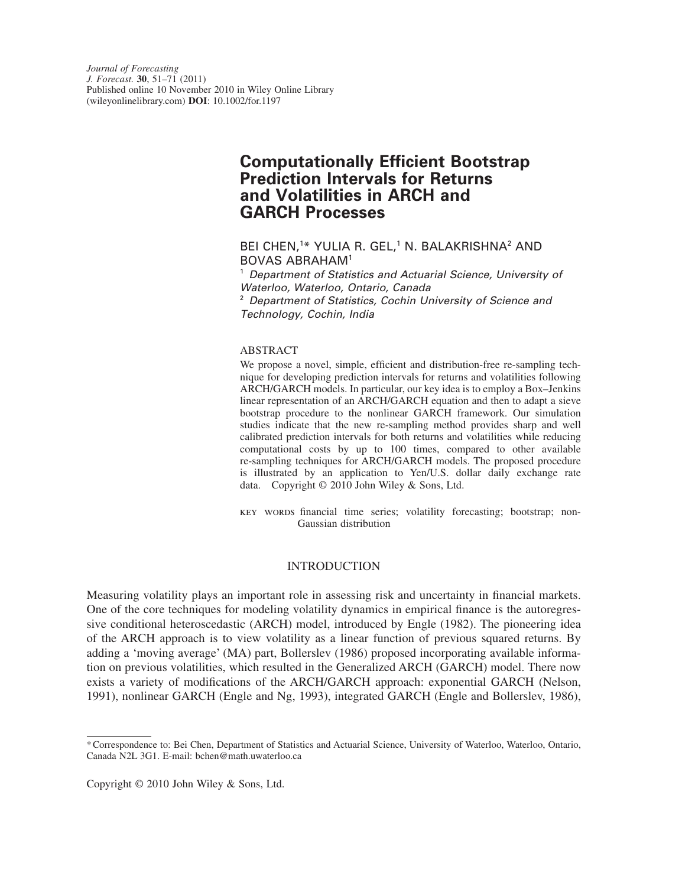*Journal of Forecasting J. Forecast.* **30**, 51–71 (2011) Published online 10 November 2010 in Wiley Online Library (wileyonlinelibrary.com) **DOI**: 10.1002/for.1197

# **Computationally Efficient Bootstrap Prediction Intervals for Returns and Volatilities in ARCH and GARCH Processes**

BEI CHEN,<sup>1</sup>\* YULIA R. GEL,<sup>1</sup> N. BALAKRISHNA<sup>2</sup> AND BOVAS ABRAHAM1

1  *Department of Statistics and Actuarial Science, University of Waterloo, Waterloo, Ontario, Canada* 2  *Department of Statistics, Cochin University of Science and Technology, Cochin, India*

#### ABSTRACT

We propose a novel, simple, efficient and distribution-free re-sampling technique for developing prediction intervals for returns and volatilities following ARCH/GARCH models. In particular, our key idea is to employ a Box–Jenkins linear representation of an ARCH/GARCH equation and then to adapt a sieve bootstrap procedure to the nonlinear GARCH framework. Our simulation studies indicate that the new re-sampling method provides sharp and well calibrated prediction intervals for both returns and volatilities while reducing computational costs by up to 100 times, compared to other available re-sampling techniques for ARCH/GARCH models. The proposed procedure is illustrated by an application to Yen/U.S. dollar daily exchange rate data. Copyright © 2010 John Wiley & Sons, Ltd.

KEY WORDS financial time series; volatility forecasting; bootstrap; non-Gaussian distribution

### INTRODUCTION

Measuring volatility plays an important role in assessing risk and uncertainty in financial markets. One of the core techniques for modeling volatility dynamics in empirical finance is the autoregressive conditional heteroscedastic (ARCH) model, introduced by Engle (1982). The pioneering idea of the ARCH approach is to view volatility as a linear function of previous squared returns. By adding a 'moving average' (MA) part, Bollerslev (1986) proposed incorporating available information on previous volatilities, which resulted in the Generalized ARCH (GARCH) model. There now exists a variety of modifications of the ARCH/GARCH approach: exponential GARCH (Nelson, 1991), nonlinear GARCH (Engle and Ng, 1993), integrated GARCH (Engle and Bollerslev, 1986),

<sup>\*</sup> Correspondence to: Bei Chen, Department of Statistics and Actuarial Science, University of Waterloo, Waterloo, Ontario, Canada N2L 3G1. E-mail: bchen@math.uwaterloo.ca

Copyright © 2010 John Wiley & Sons, Ltd.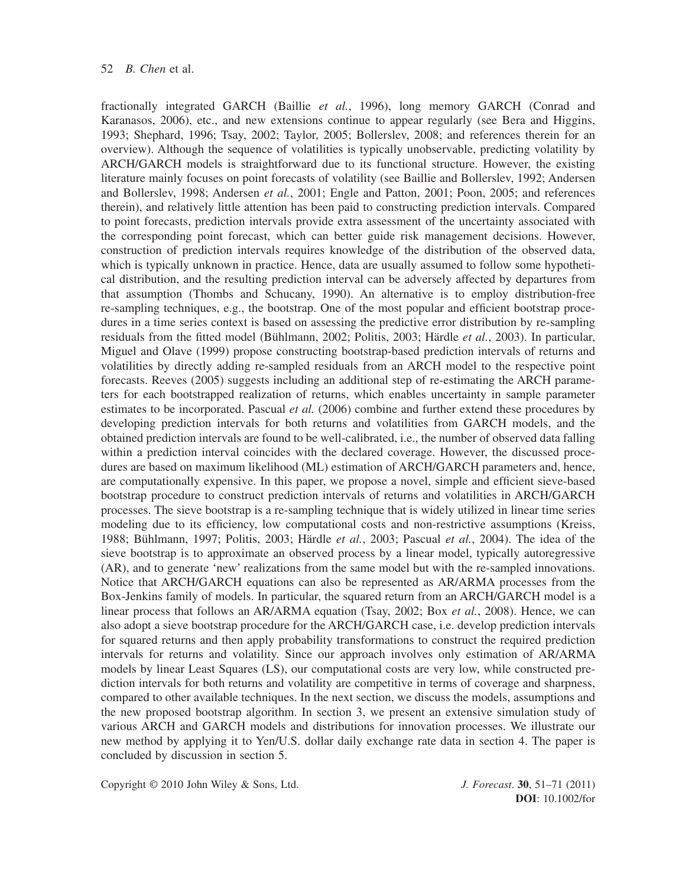fractionally integrated GARCH (Baillie *et al.*, 1996), long memory GARCH (Conrad and Karanasos, 2006), etc., and new extensions continue to appear regularly (see Bera and Higgins, 1993; Shephard, 1996; Tsay, 2002; Taylor, 2005; Bollerslev, 2008; and references therein for an overview). Although the sequence of volatilities is typically unobservable, predicting volatility by ARCH/GARCH models is straightforward due to its functional structure. However, the existing literature mainly focuses on point forecasts of volatility (see Baillie and Bollerslev, 1992; Andersen and Bollerslev, 1998; Andersen *et al.*, 2001; Engle and Patton, 2001; Poon, 2005; and references therein), and relatively little attention has been paid to constructing prediction intervals. Compared to point forecasts, prediction intervals provide extra assessment of the uncertainty associated with the corresponding point forecast, which can better guide risk management decisions. However, construction of prediction intervals requires knowledge of the distribution of the observed data, which is typically unknown in practice. Hence, data are usually assumed to follow some hypothetical distribution, and the resulting prediction interval can be adversely affected by departures from that assumption (Thombs and Schucany, 1990). An alternative is to employ distribution-free re-sampling techniques, e.g., the bootstrap. One of the most popular and efficient bootstrap procedures in a time series context is based on assessing the predictive error distribution by re-sampling residuals from the fitted model (Bühlmann, 2002; Politis, 2003; Härdle *et al.*, 2003). In particular, Miguel and Olave (1999) propose constructing bootstrap-based prediction intervals of returns and volatilities by directly adding re-sampled residuals from an ARCH model to the respective point forecasts. Reeves (2005) suggests including an additional step of re-estimating the ARCH parameters for each bootstrapped realization of returns, which enables uncertainty in sample parameter estimates to be incorporated. Pascual *et al.* (2006) combine and further extend these procedures by developing prediction intervals for both returns and volatilities from GARCH models, and the obtained prediction intervals are found to be well-calibrated, i.e., the number of observed data falling within a prediction interval coincides with the declared coverage. However, the discussed procedures are based on maximum likelihood (ML) estimation of ARCH/GARCH parameters and, hence, are computationally expensive. In this paper, we propose a novel, simple and efficient sieve-based bootstrap procedure to construct prediction intervals of returns and volatilities in ARCH/GARCH processes. The sieve bootstrap is a re-sampling technique that is widely utilized in linear time series modeling due to its efficiency, low computational costs and non-restrictive assumptions (Kreiss, 1988; Bühlmann, 1997; Politis, 2003; Härdle *et al.*, 2003; Pascual *et al.*, 2004). The idea of the sieve bootstrap is to approximate an observed process by a linear model, typically autoregressive (AR), and to generate 'new' realizations from the same model but with the re-sampled innovations. Notice that ARCH/GARCH equations can also be represented as AR/ARMA processes from the Box-Jenkins family of models. In particular, the squared return from an ARCH/GARCH model is a linear process that follows an AR/ARMA equation (Tsay, 2002; Box *et al.*, 2008). Hence, we can also adopt a sieve bootstrap procedure for the ARCH/GARCH case, i.e. develop prediction intervals for squared returns and then apply probability transformations to construct the required prediction intervals for returns and volatility. Since our approach involves only estimation of AR/ARMA models by linear Least Squares (LS), our computational costs are very low, while constructed prediction intervals for both returns and volatility are competitive in terms of coverage and sharpness, compared to other available techniques. In the next section, we discuss the models, assumptions and the new proposed bootstrap algorithm. In section 3, we present an extensive simulation study of various ARCH and GARCH models and distributions for innovation processes. We illustrate our new method by applying it to Yen/U.S. dollar daily exchange rate data in section 4. The paper is concluded by discussion in section 5.

Copyright © 2010 John Wiley & Sons, Ltd. *J. Forecast*. **30**, 51–71 (2011)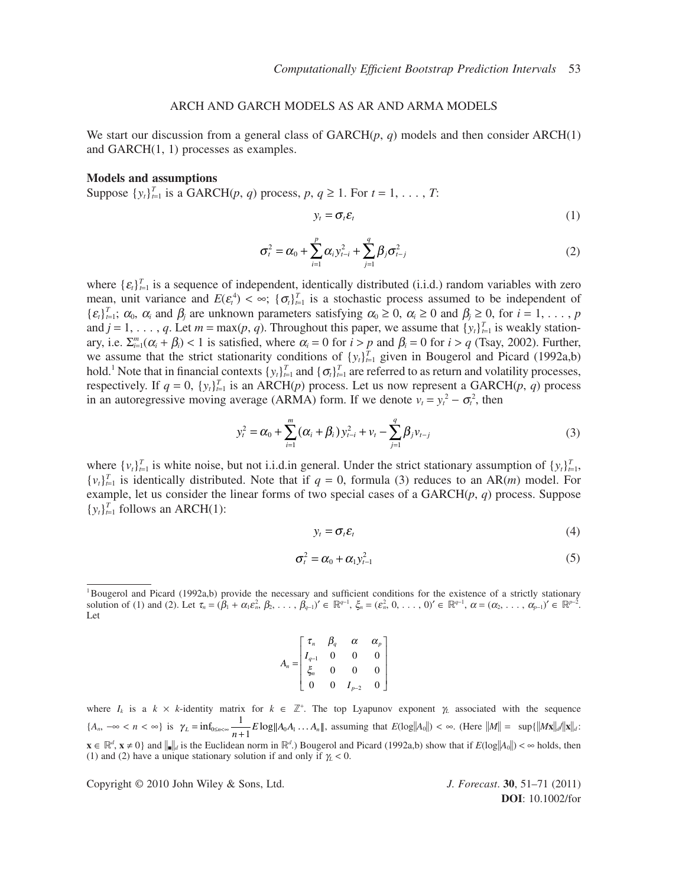#### ARCH AND GARCH MODELS AS AR AND ARMA MODELS

We start our discussion from a general class of GARCH(*p*, *q*) models and then consider ARCH(1) and GARCH(1, 1) processes as examples.

#### **Models and assumptions**

Suppose  $\{y_t\}_{t=1}^T$  is a GARCH(*p*, *q*) process, *p*,  $q \ge 1$ . For  $t = 1, \ldots, T$ :

$$
y_t = \sigma_t \varepsilon_t \tag{1}
$$

$$
\sigma_t^2 = \alpha_0 + \sum_{i=1}^p \alpha_i y_{t-i}^2 + \sum_{j=1}^q \beta_j \sigma_{t-j}^2
$$
 (2)

where  $\{\varepsilon_t\}_{t=1}^T$  is a sequence of independent, identically distributed (i.i.d.) random variables with zero mean, unit variance and  $E(\epsilon_i^4) < \infty$ ;  $\{\sigma_i\}_{i=1}^T$  is a stochastic process assumed to be independent of  ${\{\varepsilon_i\}}_{i=1}^T$ ;  $\alpha_0$ ,  $\alpha_i$  and  $\beta_j$  are unknown parameters satisfying  $\alpha_0 \ge 0$ ,  $\alpha_i \ge 0$  and  $\beta_j \ge 0$ , for  $i = 1, \ldots, p$ and  $j = 1, \ldots, q$ . Let  $m = \max(p, q)$ . Throughout this paper, we assume that  $\{y_t\}_{t=1}^T$  is weakly stationary, i.e.  $\Sigma_{i=1}^m(\alpha_i + \beta_i) < 1$  is satisfied, where  $\alpha_i = 0$  for  $i > p$  and  $\beta_i = 0$  for  $i > q$  (Tsay, 2002). Further, we assume that the strict stationarity conditions of  $\{y_t\}_{t=1}^T$  given in Bougerol and Picard (1992a,b) hold.<sup>1</sup> Note that in financial contexts  $\{y_t\}_{t=1}^T$  and  $\{\sigma_t\}_{t=1}^T$  are referred to as return and volatility processes, respectively. If  $q = 0$ ,  $\{y_t\}_{t=1}^T$  is an ARCH(*p*) process. Let us now represent a GARCH(*p*, *q*) process in an autoregressive moving average (ARMA) form. If we denote  $v_t = y_t^2 - \sigma_t^2$ , then

$$
y_t^2 = \alpha_0 + \sum_{i=1}^m (\alpha_i + \beta_i) y_{t-i}^2 + v_t - \sum_{j=1}^q \beta_j v_{t-j}
$$
 (3)

where  $\{v_t\}_{t=1}^T$  is white noise, but not i.i.d.in general. Under the strict stationary assumption of  $\{y_t\}_{t=1}^T$ ,  ${v_t}_{t=1}^T$  is identically distributed. Note that if  $q = 0$ , formula (3) reduces to an AR(*m*) model. For example, let us consider the linear forms of two special cases of a GARCH(*p*, *q*) process. Suppose  $\{y_t\}_{t=1}^T$  follows an ARCH(1):

$$
y_t = \sigma_t \varepsilon_t \tag{4}
$$

$$
\sigma_t^2 = \alpha_0 + \alpha_1 y_{t-1}^2 \tag{5}
$$

<sup>&</sup>lt;sup>1</sup>Bougerol and Picard (1992a,b) provide the necessary and sufficient conditions for the existence of a strictly stationary solution of (1) and (2). Let  $\tau_n = (\beta_1 + \alpha_1 \varepsilon_n^2, \beta_2, \dots, \beta_{q-1})' \in \mathbb{R}^{q-1}, \xi_n = (\varepsilon_n^2, 0, \dots, 0)' \in \mathbb{R}^{q-1}, \alpha = (\alpha_2, \dots, \alpha_{p-1})' \in \mathbb{R}^{p-2}.$ Let

|                                                                                                            | $\alpha$       | $\begin{bmatrix} \alpha_p \\ 0 \end{bmatrix}$ |
|------------------------------------------------------------------------------------------------------------|----------------|-----------------------------------------------|
|                                                                                                            | $\overline{0}$ |                                               |
|                                                                                                            | $\overline{0}$ | $\overline{0}$                                |
| $\label{eq:3.1} \mathcal{A} = \begin{bmatrix} \tau_n & \beta_q \\ I_{q-1} & 0 \\ \xi_n \\ 0 \end{bmatrix}$ | $I_{p-2}$      | $\begin{smallmatrix}0\end{smallmatrix}$       |

where  $I_k$  is a  $k \times k$ -identity matrix for  $k \in \mathbb{Z}^+$ . The top Lyapunov exponent  $\gamma_L$  associated with the sequence  ${A_n, -\infty < n < \infty}$  is  $\gamma_L = \inf_{0 \le n \le \infty} \frac{1}{n+1} E \log |A_0 A_1 ... A_n|$ , assuming that  $E(\log |A_0|) < \infty$ . (Here  $||M|| = \sup\{||Mx||_d / ||x||_d : 0 \le \infty\}$  $\mathbf{x} \in \mathbb{R}^d$ ,  $\mathbf{x} \neq 0$  and  $\|\mathbf{x}\|_d$  is the Euclidean norm in  $\mathbb{R}^d$ .) Bougerol and Picard (1992a,b) show that if  $E(\log||A_0||) < \infty$  holds, then (1) and (2) have a unique stationary solution if and only if  $\gamma_L < 0$ .

Copyright © 2010 John Wiley & Sons, Ltd. *J. Forecast*. **30**, 51–71 (2011)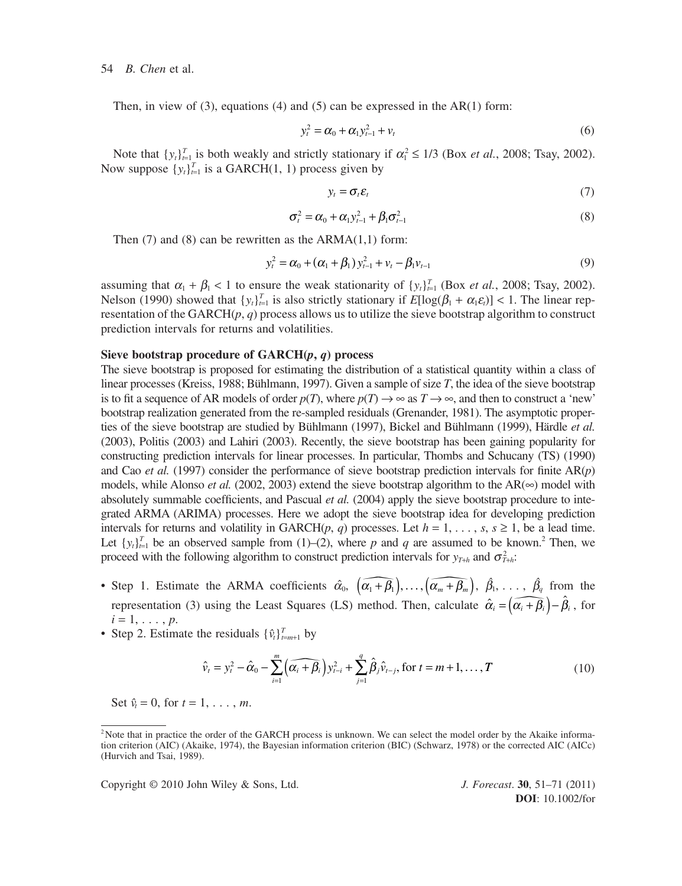Then, in view of  $(3)$ , equations  $(4)$  and  $(5)$  can be expressed in the AR $(1)$  form:

$$
y_t^2 = \alpha_0 + \alpha_1 y_{t-1}^2 + v_t \tag{6}
$$

Note that  $\{y_t\}_{t=1}^T$  is both weakly and strictly stationary if  $\alpha_1^2 \le 1/3$  (Box *et al.*, 2008; Tsay, 2002). Now suppose  $\{y_t\}_{t=1}^T$  is a GARCH(1, 1) process given by

$$
y_t = \sigma_t \varepsilon_t \tag{7}
$$

$$
\sigma_t^2 = \alpha_0 + \alpha_1 y_{t-1}^2 + \beta_1 \sigma_{t-1}^2 \tag{8}
$$

Then  $(7)$  and  $(8)$  can be rewritten as the ARMA $(1,1)$  form:

$$
y_t^2 = \alpha_0 + (\alpha_1 + \beta_1) y_{t-1}^2 + v_t - \beta_1 v_{t-1}
$$
\n(9)

assuming that  $\alpha_1 + \beta_1 < 1$  to ensure the weak stationarity of  $\{y_t\}_{t=1}^T$  (Box *et al.*, 2008; Tsay, 2002). Nelson (1990) showed that  $\{y_t\}_{t=1}^T$  is also strictly stationary if  $E[\log(\beta_1 + \alpha_1 \varepsilon_t)] < 1$ . The linear representation of the GARCH(*p*, *q*) process allows us to utilize the sieve bootstrap algorithm to construct prediction intervals for returns and volatilities.

# Sieve bootstrap procedure of  $GARCH(p, q)$  process

The sieve bootstrap is proposed for estimating the distribution of a statistical quantity within a class of linear processes (Kreiss, 1988; Bühlmann, 1997). Given a sample of size *T*, the idea of the sieve bootstrap is to fit a sequence of AR models of order  $p(T)$ , where  $p(T) \rightarrow \infty$  as  $T \rightarrow \infty$ , and then to construct a 'new' bootstrap realization generated from the re-sampled residuals (Grenander, 1981). The asymptotic properties of the sieve bootstrap are studied by Bühlmann (1997), Bickel and Bühlmann (1999), Härdle *et al.* (2003), Politis (2003) and Lahiri (2003). Recently, the sieve bootstrap has been gaining popularity for constructing prediction intervals for linear processes. In particular, Thombs and Schucany (TS) (1990) and Cao *et al.* (1997) consider the performance of sieve bootstrap prediction intervals for finite  $AR(p)$ models, while Alonso *et al.* (2002, 2003) extend the sieve bootstrap algorithm to the AR( $\infty$ ) model with absolutely summable coefficients, and Pascual *et al.* (2004) apply the sieve bootstrap procedure to integrated ARMA (ARIMA) processes. Here we adopt the sieve bootstrap idea for developing prediction intervals for returns and volatility in GARCH( $p$ ,  $q$ ) processes. Let  $h = 1, \ldots, s, s \ge 1$ , be a lead time. Let  $\{y_t\}_{t=1}^T$  be an observed sample from (1)–(2), where p and q are assumed to be known.<sup>2</sup> Then, we proceed with the following algorithm to construct prediction intervals for  $y_{T+h}$  and  $\sigma_{T+h}^2$ .

- Step 1. Estimate the ARMA coefficients  $\hat{\alpha}_0$ ,  $(\widehat{\alpha_1 + \beta_1}), \dots, (\widehat{\alpha_m + \beta_m})$ ,  $\hat{\beta}_1, \dots, \hat{\beta}_q$  from the representation (3) using the Least Squares (LS) method. Then, calculate  $\hat{\alpha}_i = (\hat{\alpha}_i + \hat{\beta}_i) - \hat{\beta}_i$ , for  $i = 1, \ldots, p$ .
- Step 2. Estimate the residuals  $\{\hat{v}_t\}_{t=m+1}^T$  by

$$
\hat{v}_t = y_t^2 - \hat{\alpha}_0 - \sum_{i=1}^m \left( \widehat{\alpha_i + \beta_i} \right) y_{t-i}^2 + \sum_{j=1}^q \hat{\beta}_j \hat{v}_{t-j}, \text{ for } t = m+1, \dots, T
$$
\n(10)

Set  $\hat{v}_t = 0$ , for  $t = 1, \ldots, m$ .

Copyright © 2010 John Wiley & Sons, Ltd. *J. Forecast*. **30**, 51–71 (2011)

<sup>&</sup>lt;sup>2</sup> Note that in practice the order of the GARCH process is unknown. We can select the model order by the Akaike information criterion (AIC) (Akaike, 1974), the Bayesian information criterion (BIC) (Schwarz, 1978) or the corrected AIC (AICc) (Hurvich and Tsai, 1989).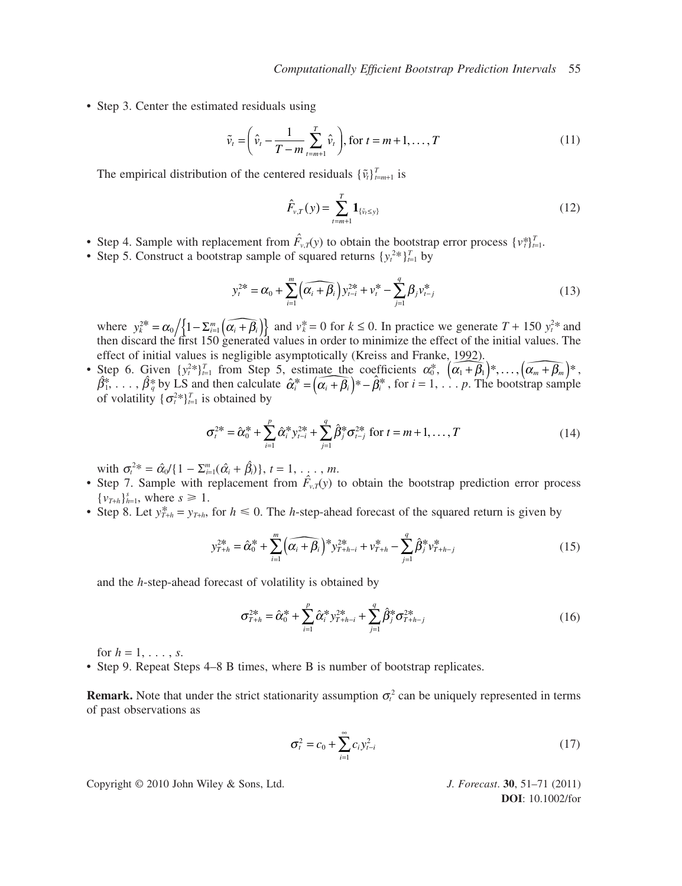• Step 3. Center the estimated residuals using

$$
\tilde{v}_t = \left(\hat{v}_t - \frac{1}{T - m} \sum_{t=m+1}^T \hat{v}_t\right), \text{ for } t = m+1, \dots, T
$$
\n
$$
(11)
$$

The empirical distribution of the centered residuals  $\{\tilde{v}_i\}_{i=m+1}^T$  is

$$
\hat{F}_{\nu,T}(y) = \sum_{t=m+1}^{T} \mathbf{1}_{\{\tilde{\nu}_t \le y\}} \tag{12}
$$

- Step 4. Sample with replacement from  $\hat{F}_{\nu,T}(y)$  to obtain the bootstrap error process  $\{v_i^*\}_{i=1}^T$ .
- Step 5. Construct a bootstrap sample of squared returns  $\{y_t^2*\}_{t=1}^T$  by

$$
y_t^{2*} = \alpha_0 + \sum_{i=1}^m \left( \widehat{\alpha_i + \beta_i} \right) y_{t-i}^{2*} + v_t^* - \sum_{j=1}^q \beta_j v_{t-j}^* \tag{13}
$$

where  $y_k^{2*} = \alpha_0 / \left\{1 - \sum_{i=1}^m (\widehat{\alpha_i + \beta_i})\right\}$  and  $v_k^* = 0$  for  $k \le 0$ . In practice we generate  $T + 150 y_t^{2*}$  and then discard the first 150 generated values in order to minimize the effect of the initial values. The effect of initial values is negligible asymptotically (Kreiss and Franke, 1992).

effect of initial values is negligible asymptotically (Kreiss and Franke, 1992).<br>• Step 6. Given  $\{y_t^{2*}\}_{t=1}^T$  from Step 5, estimate the coefficients  $\alpha_0^*$ ,  $(\overline{\alpha_1 + \beta_1})^*$ ,...,  $(\overline{\alpha_m + \beta_m})^*$ , *β*<sup>\*</sup><sub>1</sub>, ...,  $\hat{\beta}^*_{i}$  by LS and then calculate  $\hat{\alpha}^*_{i} = (\alpha_i + \beta_i)^* - \hat{\beta}^*_{i}$ , for  $i = 1, ..., p$ . The bootstrap sample of volatility  $\{\sigma_t^2 \}_{t=1}^T$  is obtained by

$$
\sigma_i^{2*} = \hat{\alpha}_0^* + \sum_{i=1}^p \hat{\alpha}_i^* y_{i-i}^{2*} + \sum_{j=1}^q \hat{\beta}_j^* \sigma_{i-j}^{2*} \text{ for } t = m+1, \dots, T
$$
 (14)

with  $\sigma_t^{2*} = \hat{\alpha}_0 / \{1 - \sum_{i=1}^m (\hat{\alpha}_i + \hat{\beta}_i)\}, t = 1, \dots, m$ .

- Step 7. Sample with replacement from  $\hat{F}_{v,T}(y)$  to obtain the bootstrap prediction error process  $\{v_{T+h}\}_{h=1}^s$ , where  $s \ge 1$ .
- Step 8. Let  $y_{T+h}^* = y_{T+h}$ , for  $h \le 0$ . The *h*-step-ahead forecast of the squared return is given by

$$
y_{T+h}^{2*} = \hat{\alpha}_0^* + \sum_{i=1}^m \left( \widehat{\alpha_i + \beta_i} \right)^* y_{T+h-i}^{2*} + v_{T+h}^* - \sum_{j=1}^q \hat{\beta}_j^* v_{T+h-j}^* \tag{15}
$$

and the *h*-step-ahead forecast of volatility is obtained by

$$
\sigma_{T+h}^{2*} = \hat{\alpha}_0^* + \sum_{i=1}^p \hat{\alpha}_i^* y_{T+h-i}^{2*} + \sum_{j=1}^q \hat{\beta}_j^* \sigma_{T+h-j}^{2*}
$$
 (16)

for  $h = 1, \ldots, s$ .

• Step 9. Repeat Steps 4–8 B times, where B is number of bootstrap replicates.

**Remark.** Note that under the strict stationarity assumption  $\sigma_t^2$  can be uniquely represented in terms of past observations as

$$
\sigma_t^2 = c_0 + \sum_{i=1}^{\infty} c_i y_{t-i}^2
$$
 (17)

Copyright © 2010 John Wiley & Sons, Ltd. *J. Forecast*. **30**, 51–71 (2011)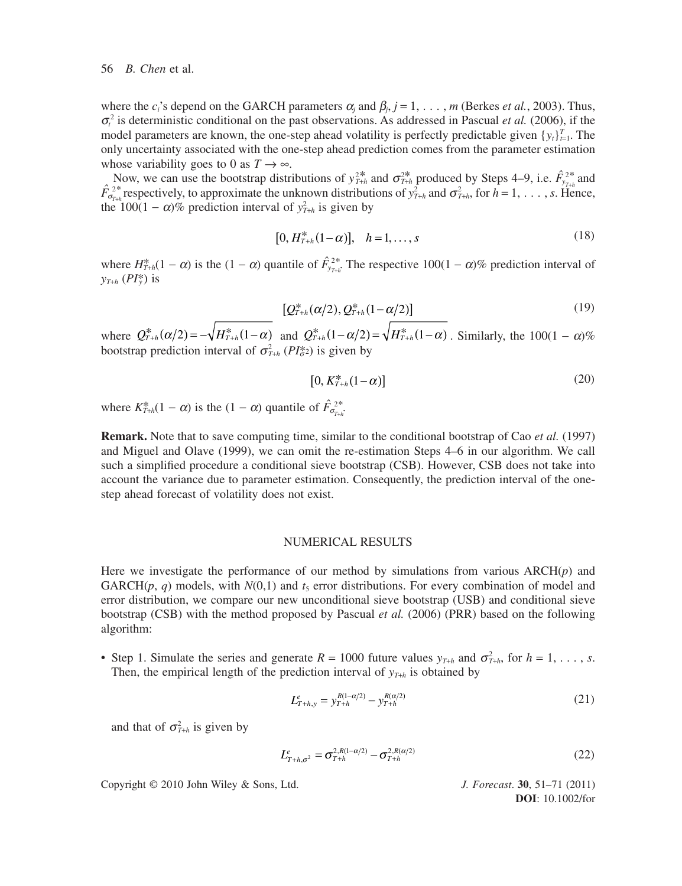where the *c<sub>i</sub>*'s depend on the GARCH parameters  $\alpha_j$  and  $\beta_j$ ,  $j = 1, \ldots, m$  (Berkes *et al.*, 2003). Thus,  $\sigma_t^2$  is deterministic conditional on the past observations. As addressed in Pascual *et al.* (2006), if the model parameters are known, the one-step ahead volatility is perfectly predictable given  $\{y_t\}_{t=1}^T$ . The only uncertainty associated with the one-step ahead prediction comes from the parameter estimation whose variability goes to 0 as  $T \rightarrow \infty$ .

Now, we can use the bootstrap distributions of  $y_{T+h}^{2*}$  and  $\sigma_{T+h}^{2*}$  produced by Steps 4–9, i.e.  $\hat{F}_{y_{T+h}}^{2*}$  and  $\hat{F}_{\sigma_{T+h}}^{2*}$  respectively, to approximate the unknown distributions of  $y_{T+h}^2$  and  $\sigma_{T+h}^2$ , for  $h = 1, \ldots, s$ . Hence, the 100(1 –  $\alpha$ )% prediction interval of  $y_{T+h}^2$  is given by

$$
[0, H_{T+h}^*(1-\alpha)], \quad h=1,\ldots,s
$$
 (18)

where  $H_{T+h}^*(1 - \alpha)$  is the  $(1 - \alpha)$  quantile of  $\hat{F}_{Y_{T+h}}^{2*}$ . The respective  $100(1 - \alpha)\%$  prediction interval of  $y_{T+h}$  ( $PI_v^*$ ) is

$$
[Q_{T+h}^*(\alpha/2), Q_{T+h}^*(1-\alpha/2)] \tag{19}
$$

where  $Q_{T+h}^* (\alpha/2) = -\sqrt{H_{T+h}^* (1-\alpha)}$  and  $Q_{T+h}^* (1-\alpha/2) = \sqrt{H_{T+h}^* (1-\alpha)}$ . Similarly, the 100(1 –  $\alpha$ )% bootstrap prediction interval of  $\sigma_{T+h}^2(PI_{\sigma}^*)$  is given by

$$
[0, K_{T+h}^*(1-\alpha)] \tag{20}
$$

where  $K_{T+h}^*(1 - \alpha)$  is the  $(1 - \alpha)$  quantile of  $\hat{F}_{\sigma_{T+h}}^{2*}$ .

**Remark.** Note that to save computing time, similar to the conditional bootstrap of Cao *et al.* (1997) and Miguel and Olave (1999), we can omit the re-estimation Steps 4–6 in our algorithm. We call such a simplified procedure a conditional sieve bootstrap (CSB). However, CSB does not take into account the variance due to parameter estimation. Consequently, the prediction interval of the onestep ahead forecast of volatility does not exist.

#### NUMERICAL RESULTS

Here we investigate the performance of our method by simulations from various ARCH(*p*) and GARCH( $p$ ,  $q$ ) models, with  $N(0,1)$  and  $t<sub>5</sub>$  error distributions. For every combination of model and error distribution, we compare our new unconditional sieve bootstrap (USB) and conditional sieve bootstrap (CSB) with the method proposed by Pascual *et al.* (2006) (PRR) based on the following algorithm:

• Step 1. Simulate the series and generate  $R = 1000$  future values  $y_{T+h}$  and  $\sigma^2_{T+h}$ , for  $h = 1, \ldots, s$ . Then, the empirical length of the prediction interval of  $y_{T+h}$  is obtained by

$$
L_{T+h,y}^e = y_{T+h}^{R(1-\alpha/2)} - y_{T+h}^{R(\alpha/2)}
$$
\n(21)

and that of  $\sigma_{T+h}^2$  is given by

$$
L_{T+h,\sigma^2}^e = \sigma_{T+h}^{2,R(1-\alpha/2)} - \sigma_{T+h}^{2,R(\alpha/2)}
$$
\n(22)

Copyright © 2010 John Wiley & Sons, Ltd. *J. Forecast*. **30**, 51–71 (2011)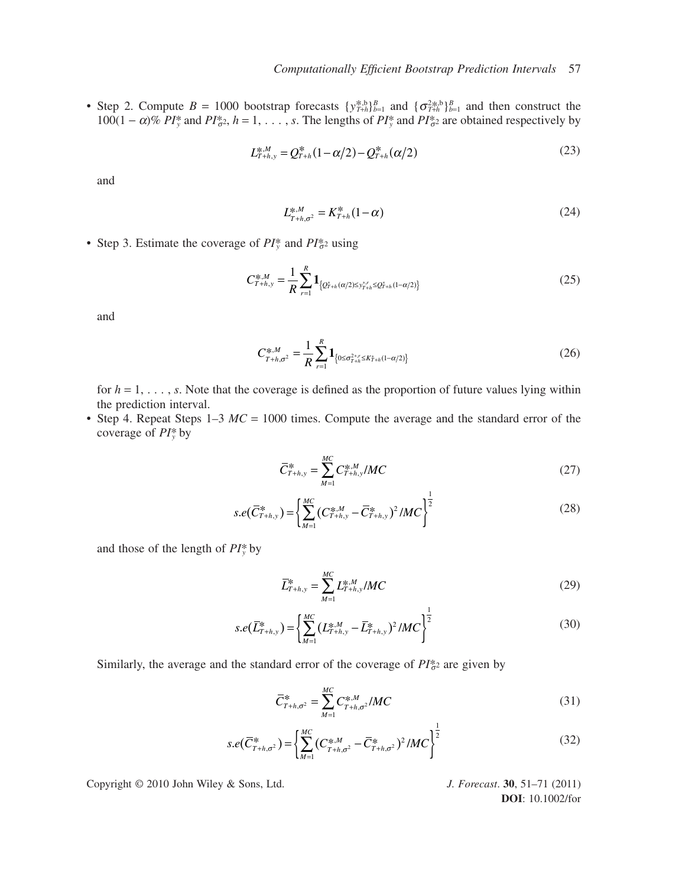• Step 2. Compute  $B = 1000$  bootstrap forecasts  $\{y_{T+h}^{*,b}\}_{b=1}^B$  and  $\{\sigma_{T+h}^{2*,b}\}_{b=1}^B$  and then construct the  $100(1 - \alpha)\%$  *PI*<sup>\*</sup><sub>*y*</sub> and *PI*<sup>\*</sup><sub>*a*</sub><sub>2</sub>, *h* = 1, . . . , *s*. The lengths of *PI*<sup>\*</sup><sub>*y*</sub> and *PI*<sup>\*</sup><sub>*a*</sub><sub>2</sub> are obtained respectively by

$$
L_{T+h,y}^{*,M} = Q_{T+h}^{*}(1 - \alpha/2) - Q_{T+h}^{*}(\alpha/2)
$$
\n(23)

and

$$
L_{T+h,\sigma^2}^{*,M} = K_{T+h}^{*}(1-\alpha)
$$
\n(24)

• Step 3. Estimate the coverage of  $PI^*_{y}$  and  $PI^*_{\sigma^2}$  using

$$
C_{T+h,y}^{*,M} = \frac{1}{R} \sum_{r=1}^{R} \mathbf{1}_{\left\{\mathcal{Q}_{T+h}^{*}(\alpha/2) \leq y_{T+h}^{*,r} \leq \mathcal{Q}_{T+h}^{*}(1-\alpha/2)\right\}} \tag{25}
$$

and

$$
C_{T+h,\sigma^2}^{*,M} = \frac{1}{R} \sum_{r=1}^R \mathbf{1}_{\left\{0 \leq \sigma_{T+h}^{2*} \leq K_{T+h}^*(1-\alpha/2)\right\}} \tag{26}
$$

for  $h = 1, \ldots, s$ . Note that the coverage is defined as the proportion of future values lying within the prediction interval.

• Step 4. Repeat Steps  $1-3$   $MC = 1000$  times. Compute the average and the standard error of the coverage of *PI*\**y* by

$$
\bar{C}_{T+h,y}^{*} = \sum_{M=1}^{MC} C_{T+h,y}^{*,M} / MC \tag{27}
$$

$$
s.e(\overline{C}_{T+h,y}^*) = \left\{ \sum_{M=1}^{MC} (C_{T+h,y}^{*,M} - \overline{C}_{T+h,y}^*)^2 / MC \right\}^{\frac{1}{2}}
$$
(28)

and those of the length of *PI*\**y* by

$$
\bar{L}_{T+h,y}^{*} = \sum_{M=1}^{MC} L_{T+h,y}^{*,M} / MC \tag{29}
$$

$$
s.e(\bar{L}_{T+h,y}^{*}) = \left\{ \sum_{M=1}^{MC} (L_{T+h,y}^{*} - \bar{L}_{T+h,y}^{*})^2 / MC \right\}^{\frac{1}{2}}
$$
(30)

Similarly, the average and the standard error of the coverage of  $PI^*_{\sigma^2}$  are given by

$$
\bar{C}_{T+h,\sigma^2}^* = \sum_{M=1}^{MC} C_{T+h,\sigma^2}^{*,M} / MC \tag{31}
$$

$$
s.e(\overline{C}_{T+h,\sigma^2}^*) = \left\{ \sum_{M=1}^{MC} (C_{T+h,\sigma^2}^{*,M} - \overline{C}_{T+h,\sigma^2}^*)^2 / MC \right\}^{\frac{1}{2}}
$$
(32)

Copyright © 2010 John Wiley & Sons, Ltd. *J. Forecast*. **30**, 51–71 (2011)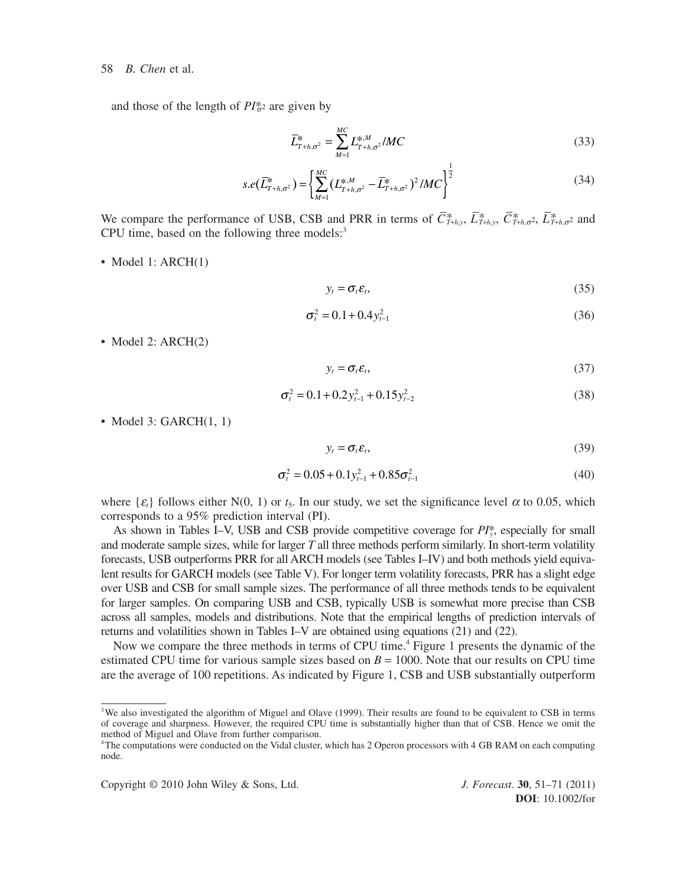and those of the length of  $PI^*_{\sigma^2}$  are given by

$$
\overline{L}_{T+h,\sigma^2}^* = \sum_{M=1}^{MC} L_{T+h,\sigma^2}^{*,M} / MC \tag{33}
$$

$$
s.e(\overline{L}_{T+h,\sigma^2}^*) = \left\{ \sum_{M=1}^{MC} (L_{T+h,\sigma^2}^{*,M} - \overline{L}_{T+h,\sigma^2}^*)^2 / MC \right\}^{\frac{1}{2}}
$$
(34)

We compare the performance of USB, CSB and PRR in terms of  $\bar{C}_{T+h,y}^*$ ,  $\bar{L}_{T+h,y}^*$ ,  $\bar{C}_{T+h,\sigma^2}^*$ ,  $\bar{L}_{T+h,\sigma^2}^*$  and CPU time, based on the following three models: $3$ 

• Model 1: ARCH(1)

$$
y_t = \sigma_t \varepsilon_t, \tag{35}
$$

$$
\sigma_t^2 = 0.1 + 0.4 y_{t-1}^2 \tag{36}
$$

• Model 2: ARCH(2)

$$
y_t = \sigma_t \varepsilon_t, \tag{37}
$$

$$
\sigma_t^2 = 0.1 + 0.2y_{t-1}^2 + 0.15y_{t-2}^2
$$
\n(38)

• Model 3:  $GARCH(1, 1)$ 

$$
y_t = \sigma_t \varepsilon_t, \tag{39}
$$

$$
\sigma_t^2 = 0.05 + 0.1 y_{t-1}^2 + 0.85 \sigma_{t-1}^2 \tag{40}
$$

where  $\{\varepsilon_t\}$  follows either N(0, 1) or  $t_5$ . In our study, we set the significance level  $\alpha$  to 0.05, which corresponds to a 95% prediction interval (PI).

As shown in Tables I–V, USB and CSB provide competitive coverage for *PI*\**y*, especially for small and moderate sample sizes, while for larger *T* all three methods perform similarly. In short-term volatility forecasts, USB outperforms PRR for all ARCH models (see Tables I–IV) and both methods yield equivalent results for GARCH models (see Table V). For longer term volatility forecasts, PRR has a slight edge over USB and CSB for small sample sizes. The performance of all three methods tends to be equivalent for larger samples. On comparing USB and CSB, typically USB is somewhat more precise than CSB across all samples, models and distributions. Note that the empirical lengths of prediction intervals of returns and volatilities shown in Tables I–V are obtained using equations (21) and (22).

Now we compare the three methods in terms of CPU time.<sup>4</sup> Figure 1 presents the dynamic of the estimated CPU time for various sample sizes based on  $B = 1000$ . Note that our results on CPU time are the average of 100 repetitions. As indicated by Figure 1, CSB and USB substantially outperform

Copyright © 2010 John Wiley & Sons, Ltd. *J. Forecast*. **30**, 51–71 (2011)

<sup>&</sup>lt;sup>3</sup>We also investigated the algorithm of Miguel and Olave (1999). Their results are found to be equivalent to CSB in terms of coverage and sharpness. However, the required CPU time is substantially higher than that of CSB. Hence we omit the method of Miguel and Olave from further comparison.

<sup>4</sup> The computations were conducted on the Vidal cluster, which has 2 Operon processors with 4 GB RAM on each computing node.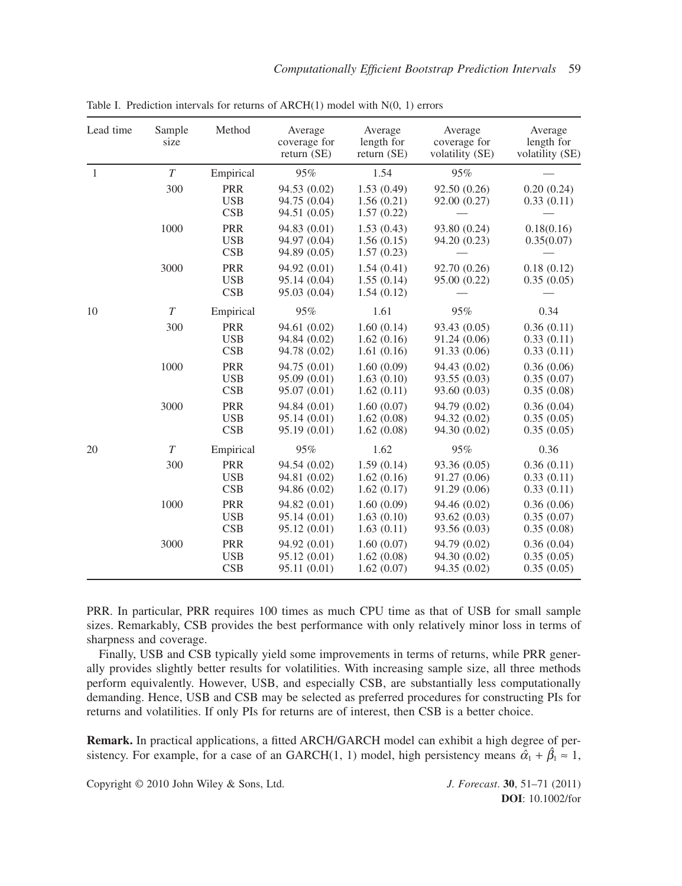| Lead time | Sample<br>size | Method                                 | Average<br>coverage for<br>return $(SE)$     | Average<br>length for<br>return $(SE)$ | Average<br>coverage for<br>volatility (SE)   | Average<br>length for<br>volatility (SE) |
|-----------|----------------|----------------------------------------|----------------------------------------------|----------------------------------------|----------------------------------------------|------------------------------------------|
| 1         | T              | Empirical                              | 95%                                          | 1.54                                   | 95%                                          |                                          |
|           | 300            | <b>PRR</b><br><b>USB</b><br><b>CSB</b> | 94.53 (0.02)<br>94.75 (0.04)<br>94.51 (0.05) | 1.53(0.49)<br>1.56(0.21)<br>1.57(0.22) | 92.50 (0.26)<br>92.00 (0.27)                 | 0.20(0.24)<br>0.33(0.11)                 |
|           | 1000           | <b>PRR</b><br><b>USB</b><br><b>CSB</b> | 94.83 (0.01)<br>94.97 (0.04)<br>94.89 (0.05) | 1.53(0.43)<br>1.56(0.15)<br>1.57(0.23) | 93.80 (0.24)<br>94.20 (0.23)                 | 0.18(0.16)<br>0.35(0.07)                 |
|           | 3000           | <b>PRR</b><br><b>USB</b><br>CSB        | 94.92 (0.01)<br>95.14 (0.04)<br>95.03 (0.04) | 1.54(0.41)<br>1.55(0.14)<br>1.54(0.12) | 92.70 (0.26)<br>95.00 (0.22)                 | 0.18(0.12)<br>0.35(0.05)                 |
| 10        | T              | Empirical                              | 95%                                          | 1.61                                   | 95%                                          | 0.34                                     |
|           | 300            | <b>PRR</b><br><b>USB</b><br><b>CSB</b> | 94.61 (0.02)<br>94.84 (0.02)<br>94.78 (0.02) | 1.60(0.14)<br>1.62(0.16)<br>1.61(0.16) | 93.43 (0.05)<br>91.24(0.06)<br>91.33(0.06)   | 0.36(0.11)<br>0.33(0.11)<br>0.33(0.11)   |
|           | 1000           | <b>PRR</b><br><b>USB</b><br>CSB        | 94.75 (0.01)<br>95.09 (0.01)<br>95.07 (0.01) | 1.60(0.09)<br>1.63(0.10)<br>1.62(0.11) | 94.43 (0.02)<br>93.55 (0.03)<br>93.60 (0.03) | 0.36(0.06)<br>0.35(0.07)<br>0.35(0.08)   |
|           | 3000           | <b>PRR</b><br><b>USB</b><br>CSB        | 94.84 (0.01)<br>95.14 (0.01)<br>95.19 (0.01) | 1.60(0.07)<br>1.62(0.08)<br>1.62(0.08) | 94.79 (0.02)<br>94.32 (0.02)<br>94.30 (0.02) | 0.36(0.04)<br>0.35(0.05)<br>0.35(0.05)   |
| 20        | T              | Empirical                              | 95%                                          | 1.62                                   | 95%                                          | 0.36                                     |
|           | 300            | <b>PRR</b><br><b>USB</b><br>CSB        | 94.54 (0.02)<br>94.81 (0.02)<br>94.86 (0.02) | 1.59(0.14)<br>1.62(0.16)<br>1.62(0.17) | 93.36 (0.05)<br>91.27 (0.06)<br>91.29 (0.06) | 0.36(0.11)<br>0.33(0.11)<br>0.33(0.11)   |
|           | 1000           | <b>PRR</b><br><b>USB</b><br>CSB        | 94.82 (0.01)<br>95.14 (0.01)<br>95.12 (0.01) | 1.60(0.09)<br>1.63(0.10)<br>1.63(0.11) | 94.46 (0.02)<br>93.62(0.03)<br>93.56 (0.03)  | 0.36(0.06)<br>0.35(0.07)<br>0.35(0.08)   |
|           | 3000           | <b>PRR</b><br><b>USB</b><br><b>CSB</b> | 94.92 (0.01)<br>95.12 (0.01)<br>95.11 (0.01) | 1.60(0.07)<br>1.62(0.08)<br>1.62(0.07) | 94.79 (0.02)<br>94.30 (0.02)<br>94.35 (0.02) | 0.36(0.04)<br>0.35(0.05)<br>0.35(0.05)   |

Table I. Prediction intervals for returns of  $ARCH(1)$  model with  $N(0, 1)$  errors

PRR. In particular, PRR requires 100 times as much CPU time as that of USB for small sample sizes. Remarkably, CSB provides the best performance with only relatively minor loss in terms of sharpness and coverage.

Finally, USB and CSB typically yield some improvements in terms of returns, while PRR generally provides slightly better results for volatilities. With increasing sample size, all three methods perform equivalently. However, USB, and especially CSB, are substantially less computationally demanding. Hence, USB and CSB may be selected as preferred procedures for constructing PIs for returns and volatilities. If only PIs for returns are of interest, then CSB is a better choice.

**Remark.** In practical applications, a fitted ARCH/GARCH model can exhibit a high degree of persistency. For example, for a case of an GARCH(1, 1) model, high persistency means  $\alpha_1 + \beta_1 = 1$ ,

Copyright © 2010 John Wiley & Sons, Ltd. *J. Forecast*. **30**, 51–71 (2011)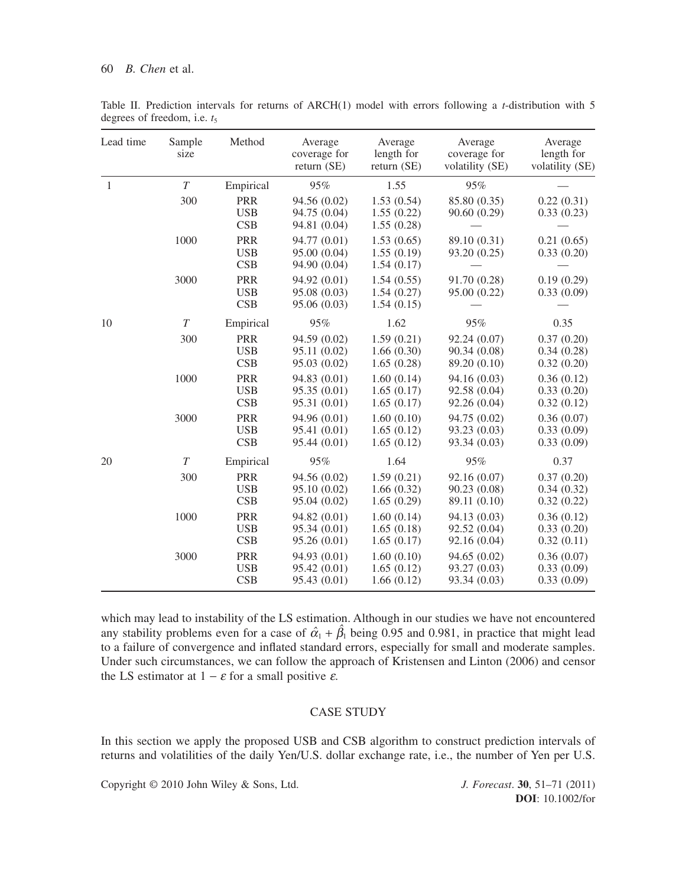| Lead time    | Sample<br>size | Method                                 | Average<br>coverage for<br>return $(SE)$     | Average<br>length for<br>return $(SE)$ | Average<br>coverage for<br>volatility (SE)   | Average<br>length for<br>volatility (SE) |
|--------------|----------------|----------------------------------------|----------------------------------------------|----------------------------------------|----------------------------------------------|------------------------------------------|
| $\mathbf{1}$ | T              | Empirical                              | 95%                                          | 1.55                                   | 95%                                          |                                          |
|              | 300            | <b>PRR</b><br><b>USB</b><br><b>CSB</b> | 94.56 (0.02)<br>94.75 (0.04)<br>94.81 (0.04) | 1.53(0.54)<br>1.55(0.22)<br>1.55(0.28) | 85.80 (0.35)<br>90.60 (0.29)                 | 0.22(0.31)<br>0.33(0.23)                 |
|              | 1000           | <b>PRR</b><br><b>USB</b><br>CSB        | 94.77 (0.01)<br>95.00 (0.04)<br>94.90 (0.04) | 1.53(0.65)<br>1.55(0.19)<br>1.54(0.17) | 89.10 (0.31)<br>93.20 (0.25)                 | 0.21(0.65)<br>0.33(0.20)                 |
|              | 3000           | <b>PRR</b><br><b>USB</b><br><b>CSB</b> | 94.92 (0.01)<br>95.08 (0.03)<br>95.06 (0.03) | 1.54(0.55)<br>1.54(0.27)<br>1.54(0.15) | 91.70 (0.28)<br>95.00 (0.22)                 | 0.19(0.29)<br>0.33(0.09)                 |
| 10           | T              | Empirical                              | 95%                                          | 1.62                                   | 95%                                          | 0.35                                     |
|              | 300            | <b>PRR</b><br><b>USB</b><br>CSB        | 94.59 (0.02)<br>95.11 (0.02)<br>95.03 (0.02) | 1.59(0.21)<br>1.66(0.30)<br>1.65(0.28) | 92.24 (0.07)<br>90.34(0.08)<br>89.20 (0.10)  | 0.37(0.20)<br>0.34(0.28)<br>0.32(0.20)   |
|              | 1000           | <b>PRR</b><br><b>USB</b><br><b>CSB</b> | 94.83 (0.01)<br>95.35 (0.01)<br>95.31 (0.01) | 1.60(0.14)<br>1.65(0.17)<br>1.65(0.17) | 94.16 (0.03)<br>92.58 (0.04)<br>92.26(0.04)  | 0.36(0.12)<br>0.33(0.20)<br>0.32(0.12)   |
|              | 3000           | <b>PRR</b><br><b>USB</b><br>CSB        | 94.96 (0.01)<br>95.41 (0.01)<br>95.44 (0.01) | 1.60(0.10)<br>1.65(0.12)<br>1.65(0.12) | 94.75 (0.02)<br>93.23 (0.03)<br>93.34 (0.03) | 0.36(0.07)<br>0.33(0.09)<br>0.33(0.09)   |
| 20           | T              | Empirical                              | 95%                                          | 1.64                                   | 95%                                          | 0.37                                     |
|              | 300            | <b>PRR</b><br><b>USB</b><br><b>CSB</b> | 94.56 (0.02)<br>95.10 (0.02)<br>95.04 (0.02) | 1.59(0.21)<br>1.66(0.32)<br>1.65(0.29) | 92.16 (0.07)<br>90.23 (0.08)<br>89.11 (0.10) | 0.37(0.20)<br>0.34(0.32)<br>0.32(0.22)   |
|              | 1000           | <b>PRR</b><br><b>USB</b><br>CSB        | 94.82 (0.01)<br>95.34 (0.01)<br>95.26(0.01)  | 1.60(0.14)<br>1.65(0.18)<br>1.65(0.17) | 94.13 (0.03)<br>92.52 (0.04)<br>92.16 (0.04) | 0.36(0.12)<br>0.33(0.20)<br>0.32(0.11)   |
|              | 3000           | <b>PRR</b><br><b>USB</b><br><b>CSB</b> | 94.93 (0.01)<br>95.42 (0.01)<br>95.43 (0.01) | 1.60(0.10)<br>1.65(0.12)<br>1.66(0.12) | 94.65 (0.02)<br>93.27 (0.03)<br>93.34 (0.03) | 0.36(0.07)<br>0.33(0.09)<br>0.33(0.09)   |

Table II. Prediction intervals for returns of ARCH(1) model with errors following a *t*-distribution with 5 degrees of freedom, i.e.  $t_5$ 

which may lead to instability of the LS estimation. Although in our studies we have not encountered any stability problems even for a case of  $\hat{\alpha}_1 + \hat{\beta}_1$  being 0.95 and 0.981, in practice that might lead to a failure of convergence and inflated standard errors, especially for small and moderate samples. Under such circumstances, we can follow the approach of Kristensen and Linton (2006) and censor the LS estimator at  $1 - \varepsilon$  for a small positive  $\varepsilon$ .

# CASE STUDY

In this section we apply the proposed USB and CSB algorithm to construct prediction intervals of returns and volatilities of the daily Yen/U.S. dollar exchange rate, i.e., the number of Yen per U.S.

Copyright © 2010 John Wiley & Sons, Ltd. *J. Forecast*. **30**, 51–71 (2011)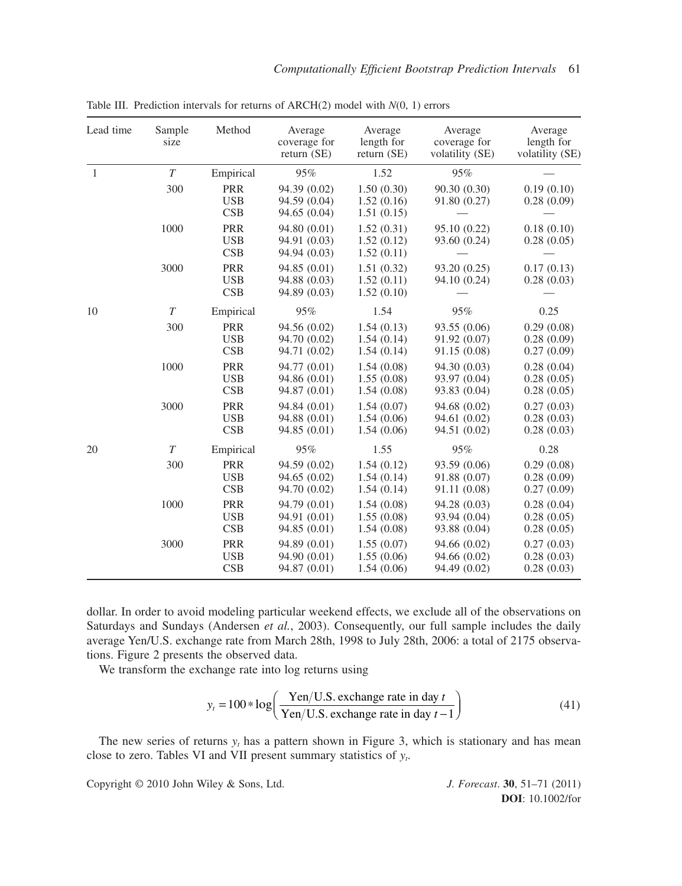| Lead time    | Sample<br>size | Method                                 | Average<br>coverage for<br>return $(SE)$     | Average<br>length for<br>return $(SE)$ | Average<br>coverage for<br>volatility (SE)   | Average<br>length for<br>volatility (SE) |
|--------------|----------------|----------------------------------------|----------------------------------------------|----------------------------------------|----------------------------------------------|------------------------------------------|
| $\mathbf{1}$ | T              | Empirical                              | 95%                                          | 1.52                                   | 95%                                          |                                          |
|              | 300            | <b>PRR</b><br><b>USB</b><br><b>CSB</b> | 94.39 (0.02)<br>94.59 (0.04)<br>94.65 (0.04) | 1.50(0.30)<br>1.52(0.16)<br>1.51(0.15) | 90.30 (0.30)<br>91.80 (0.27)                 | 0.19(0.10)<br>0.28(0.09)                 |
|              | 1000           | <b>PRR</b><br><b>USB</b><br>CSB        | 94.80 (0.01)<br>94.91 (0.03)<br>94.94 (0.03) | 1.52(0.31)<br>1.52(0.12)<br>1.52(0.11) | 95.10 (0.22)<br>93.60 (0.24)                 | 0.18(0.10)<br>0.28(0.05)                 |
|              | 3000           | <b>PRR</b><br><b>USB</b><br>CSB        | 94.85 (0.01)<br>94.88 (0.03)<br>94.89 (0.03) | 1.51(0.32)<br>1.52(0.11)<br>1.52(0.10) | 93.20 (0.25)<br>94.10 (0.24)                 | 0.17(0.13)<br>0.28(0.03)                 |
| 10           | T              | Empirical                              | 95%                                          | 1.54                                   | 95%                                          | 0.25                                     |
|              | 300            | <b>PRR</b><br><b>USB</b><br><b>CSB</b> | 94.56 (0.02)<br>94.70 (0.02)<br>94.71 (0.02) | 1.54(0.13)<br>1.54(0.14)<br>1.54(0.14) | 93.55 (0.06)<br>91.92 (0.07)<br>91.15(0.08)  | 0.29(0.08)<br>0.28(0.09)<br>0.27(0.09)   |
|              | 1000           | <b>PRR</b><br><b>USB</b><br><b>CSB</b> | 94.77 (0.01)<br>94.86 (0.01)<br>94.87 (0.01) | 1.54(0.08)<br>1.55(0.08)<br>1.54(0.08) | 94.30 (0.03)<br>93.97 (0.04)<br>93.83 (0.04) | 0.28(0.04)<br>0.28(0.05)<br>0.28(0.05)   |
|              | 3000           | <b>PRR</b><br><b>USB</b><br>CSB        | 94.84 (0.01)<br>94.88 (0.01)<br>94.85 (0.01) | 1.54(0.07)<br>1.54(0.06)<br>1.54(0.06) | 94.68 (0.02)<br>94.61 (0.02)<br>94.51 (0.02) | 0.27(0.03)<br>0.28(0.03)<br>0.28(0.03)   |
| 20           | T              | Empirical                              | 95%                                          | 1.55                                   | 95%                                          | 0.28                                     |
|              | 300            | <b>PRR</b><br><b>USB</b><br><b>CSB</b> | 94.59 (0.02)<br>94.65(0.02)<br>94.70 (0.02)  | 1.54(0.12)<br>1.54(0.14)<br>1.54(0.14) | 93.59 (0.06)<br>91.88 (0.07)<br>91.11 (0.08) | 0.29(0.08)<br>0.28(0.09)<br>0.27(0.09)   |
|              | 1000           | <b>PRR</b><br><b>USB</b><br><b>CSB</b> | 94.79 (0.01)<br>94.91 (0.01)<br>94.85(0.01)  | 1.54(0.08)<br>1.55(0.08)<br>1.54(0.08) | 94.28 (0.03)<br>93.94 (0.04)<br>93.88 (0.04) | 0.28(0.04)<br>0.28(0.05)<br>0.28(0.05)   |
|              | 3000           | <b>PRR</b><br><b>USB</b><br><b>CSB</b> | 94.89 (0.01)<br>94.90 (0.01)<br>94.87 (0.01) | 1.55(0.07)<br>1.55(0.06)<br>1.54(0.06) | 94.66 (0.02)<br>94.66 (0.02)<br>94.49 (0.02) | 0.27(0.03)<br>0.28(0.03)<br>0.28(0.03)   |

Table III. Prediction intervals for returns of ARCH(2) model with *N*(0, 1) errors

dollar. In order to avoid modeling particular weekend effects, we exclude all of the observations on Saturdays and Sundays (Andersen *et al.*, 2003). Consequently, our full sample includes the daily average Yen/U.S. exchange rate from March 28th, 1998 to July 28th, 2006: a total of 2175 observations. Figure 2 presents the observed data.

We transform the exchange rate into log returns using

$$
y_t = 100 * \log \left( \frac{\text{Yen}/\text{U.S. exchange rate in day } t}{\text{Yen}/\text{U.S. exchange rate in day } t - 1} \right)
$$
(41)

The new series of returns  $y_t$  has a pattern shown in Figure 3, which is stationary and has mean close to zero. Tables VI and VII present summary statistics of *yt*.

Copyright © 2010 John Wiley & Sons, Ltd. *J. Forecast*. **30**, 51–71 (2011)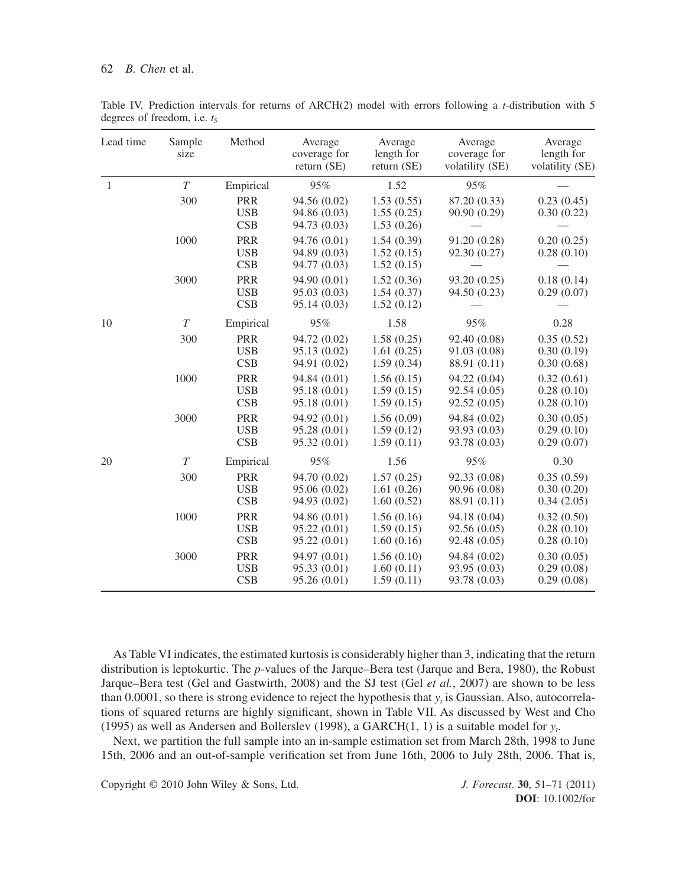| Lead time    | Sample<br>size | Method                                 | Average<br>coverage for<br>return (SE)       | Average<br>length for<br>return $(SE)$ | Average<br>coverage for<br>volatility (SE)   | Average<br>length for<br>volatility (SE) |
|--------------|----------------|----------------------------------------|----------------------------------------------|----------------------------------------|----------------------------------------------|------------------------------------------|
| $\mathbf{1}$ | T              | Empirical                              | 95%                                          | 1.52                                   | 95%                                          |                                          |
|              | 300            | <b>PRR</b><br><b>USB</b><br><b>CSB</b> | 94.56 (0.02)<br>94.86 (0.03)<br>94.73 (0.03) | 1.53(0.55)<br>1.55(0.25)<br>1.53(0.26) | 87.20 (0.33)<br>90.90 (0.29)                 | 0.23(0.45)<br>0.30(0.22)                 |
|              | 1000           | <b>PRR</b><br><b>USB</b><br><b>CSB</b> | 94.76 (0.01)<br>94.89 (0.03)<br>94.77 (0.03) | 1.54(0.39)<br>1.52(0.15)<br>1.52(0.15) | 91.20(0.28)<br>92.30 (0.27)                  | 0.20(0.25)<br>0.28(0.10)                 |
|              | 3000           | <b>PRR</b><br><b>USB</b><br><b>CSB</b> | 94.90 (0.01)<br>95.03 (0.03)<br>95.14 (0.03) | 1.52(0.36)<br>1.54(0.37)<br>1.52(0.12) | 93.20 (0.25)<br>94.50 (0.23)                 | 0.18(0.14)<br>0.29(0.07)                 |
| 10           | T              | Empirical                              | 95%                                          | 1.58                                   | 95%                                          | 0.28                                     |
|              | 300            | <b>PRR</b><br><b>USB</b><br><b>CSB</b> | 94.72 (0.02)<br>95.13 (0.02)<br>94.91 (0.02) | 1.58(0.25)<br>1.61(0.25)<br>1.59(0.34) | 92.40 (0.08)<br>91.03 (0.08)<br>88.91 (0.11) | 0.35(0.52)<br>0.30(0.19)<br>0.30(0.68)   |
|              | 1000           | <b>PRR</b><br><b>USB</b><br><b>CSB</b> | 94.84 (0.01)<br>95.18 (0.01)<br>95.18 (0.01) | 1.56(0.15)<br>1.59(0.15)<br>1.59(0.15) | 94.22 (0.04)<br>92.54(0.05)<br>92.52 (0.05)  | 0.32(0.61)<br>0.28(0.10)<br>0.28(0.10)   |
|              | 3000           | <b>PRR</b><br><b>USB</b><br><b>CSB</b> | 94.92 (0.01)<br>95.28 (0.01)<br>95.32 (0.01) | 1.56(0.09)<br>1.59(0.12)<br>1.59(0.11) | 94.84 (0.02)<br>93.93 (0.03)<br>93.78 (0.03) | 0.30(0.05)<br>0.29(0.10)<br>0.29(0.07)   |
| 20           | T              | Empirical                              | 95%                                          | 1.56                                   | 95%                                          | 0.30                                     |
|              | 300            | <b>PRR</b><br><b>USB</b><br>CSB        | 94.70 (0.02)<br>95.06 (0.02)<br>94.93 (0.02) | 1.57(0.25)<br>1.61(0.26)<br>1.60(0.52) | 92.33 (0.08)<br>90.96 (0.08)<br>88.91 (0.11) | 0.35(0.59)<br>0.30(0.20)<br>0.34(2.05)   |
|              | 1000           | <b>PRR</b><br><b>USB</b><br><b>CSB</b> | 94.86 (0.01)<br>95.22(0.01)<br>95.22 (0.01)  | 1.56(0.16)<br>1.59(0.15)<br>1.60(0.16) | 94.18 (0.04)<br>92.56(0.05)<br>92.48 (0.05)  | 0.32(0.50)<br>0.28(0.10)<br>0.28(0.10)   |
|              | 3000           | PRR<br><b>USB</b><br><b>CSB</b>        | 94.97 (0.01)<br>95.33 (0.01)<br>95.26 (0.01) | 1.56(0.10)<br>1.60(0.11)<br>1.59(0.11) | 94.84 (0.02)<br>93.95 (0.03)<br>93.78 (0.03) | 0.30(0.05)<br>0.29(0.08)<br>0.29(0.08)   |

Table IV. Prediction intervals for returns of ARCH(2) model with errors following a *t*-distribution with 5 degrees of freedom, i.e.  $t_5$ 

As Table VI indicates, the estimated kurtosis is considerably higher than 3, indicating that the return distribution is leptokurtic. The *p*-values of the Jarque–Bera test (Jarque and Bera, 1980), the Robust Jarque–Bera test (Gel and Gastwirth, 2008) and the SJ test (Gel *et al.*, 2007) are shown to be less than 0.0001, so there is strong evidence to reject the hypothesis that  $y<sub>i</sub>$  is Gaussian. Also, autocorrelations of squared returns are highly significant, shown in Table VII. As discussed by West and Cho (1995) as well as Andersen and Bollerslev (1998), a GARCH $(1, 1)$  is a suitable model for  $y_t$ .

Next, we partition the full sample into an in-sample estimation set from March 28th, 1998 to June 15th, 2006 and an out-of-sample verification set from June 16th, 2006 to July 28th, 2006. That is,

Copyright © 2010 John Wiley & Sons, Ltd. *J. Forecast*. **30**, 51–71 (2011)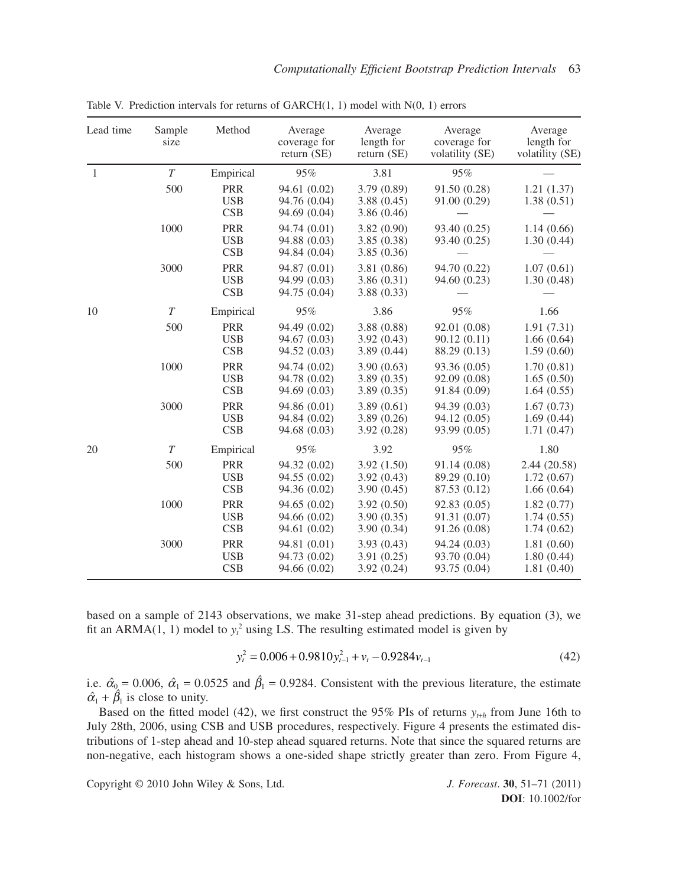| Lead time    | Sample<br>size | Method                                 | Average<br>coverage for<br>return $(SE)$     | Average<br>length for<br>return $(SE)$  | Average<br>coverage for<br>volatility (SE)   | Average<br>length for<br>volatility (SE) |
|--------------|----------------|----------------------------------------|----------------------------------------------|-----------------------------------------|----------------------------------------------|------------------------------------------|
| $\mathbf{1}$ | T              | Empirical                              | 95%                                          | 3.81                                    | 95%                                          |                                          |
|              | 500            | <b>PRR</b><br><b>USB</b><br>CSB        | 94.61 (0.02)<br>94.76 (0.04)<br>94.69 (0.04) | 3.79 (0.89)<br>3.88(0.45)<br>3.86(0.46) | 91.50 (0.28)<br>91.00 (0.29)                 | 1.21(1.37)<br>1.38(0.51)                 |
|              | 1000           | <b>PRR</b><br><b>USB</b><br>CSB        | 94.74 (0.01)<br>94.88 (0.03)<br>94.84 (0.04) | 3.82(0.90)<br>3.85(0.38)<br>3.85(0.36)  | 93.40 (0.25)<br>93.40 (0.25)                 | 1.14(0.66)<br>1.30(0.44)                 |
|              | 3000           | <b>PRR</b><br><b>USB</b><br>CSB        | 94.87 (0.01)<br>94.99 (0.03)<br>94.75 (0.04) | 3.81 (0.86)<br>3.86(0.31)<br>3.88(0.33) | 94.70 (0.22)<br>94.60 (0.23)                 | 1.07(0.61)<br>1.30(0.48)                 |
| 10           | T              | Empirical                              | 95%                                          | 3.86                                    | 95%                                          | 1.66                                     |
|              | 500            | <b>PRR</b><br><b>USB</b><br><b>CSB</b> | 94.49 (0.02)<br>94.67 (0.03)<br>94.52 (0.03) | 3.88 (0.88)<br>3.92(0.43)<br>3.89(0.44) | 92.01 (0.08)<br>90.12(0.11)<br>88.29 (0.13)  | 1.91(7.31)<br>1.66(0.64)<br>1.59(0.60)   |
|              | 1000           | <b>PRR</b><br><b>USB</b><br>CSB        | 94.74 (0.02)<br>94.78 (0.02)<br>94.69 (0.03) | 3.90(0.63)<br>3.89(0.35)<br>3.89(0.35)  | 93.36 (0.05)<br>92.09 (0.08)<br>91.84 (0.09) | 1.70(0.81)<br>1.65(0.50)<br>1.64(0.55)   |
|              | 3000           | <b>PRR</b><br><b>USB</b><br><b>CSB</b> | 94.86 (0.01)<br>94.84 (0.02)<br>94.68 (0.03) | 3.89(0.61)<br>3.89(0.26)<br>3.92(0.28)  | 94.39 (0.03)<br>94.12 (0.05)<br>93.99 (0.05) | 1.67(0.73)<br>1.69(0.44)<br>1.71(0.47)   |
| 20           | T              | Empirical                              | 95%                                          | 3.92                                    | 95%                                          | 1.80                                     |
|              | 500            | <b>PRR</b><br><b>USB</b><br><b>CSB</b> | 94.32 (0.02)<br>94.55 (0.02)<br>94.36 (0.02) | 3.92(1.50)<br>3.92(0.43)<br>3.90(0.45)  | 91.14 (0.08)<br>89.29 (0.10)<br>87.53 (0.12) | 2.44 (20.58)<br>1.72(0.67)<br>1.66(0.64) |
|              | 1000           | <b>PRR</b><br><b>USB</b><br>CSB        | 94.65 (0.02)<br>94.66 (0.02)<br>94.61 (0.02) | 3.92(0.50)<br>3.90(0.35)<br>3.90(0.34)  | 92.83 (0.05)<br>91.31 (0.07)<br>91.26 (0.08) | 1.82(0.77)<br>1.74(0.55)<br>1.74(0.62)   |
|              | 3000           | <b>PRR</b><br><b>USB</b><br><b>CSB</b> | 94.81 (0.01)<br>94.73 (0.02)<br>94.66 (0.02) | 3.93(0.43)<br>3.91(0.25)<br>3.92(0.24)  | 94.24 (0.03)<br>93.70 (0.04)<br>93.75 (0.04) | 1.81(0.60)<br>1.80(0.44)<br>1.81(0.40)   |

Table V. Prediction intervals for returns of  $GARCH(1, 1)$  model with  $N(0, 1)$  errors

based on a sample of 2143 observations, we make 31-step ahead predictions. By equation (3), we fit an ARMA $(1, 1)$  model to  $y_t^2$  using LS. The resulting estimated model is given by

$$
y_t^2 = 0.006 + 0.9810y_{t-1}^2 + v_t - 0.9284v_{t-1}
$$
\n
$$
(42)
$$

i.e.  $\hat{\alpha}_0 = 0.006$ ,  $\hat{\alpha}_1 = 0.0525$  and  $\hat{\beta}_1 = 0.9284$ . Consistent with the previous literature, the estimate  $\hat{\alpha}_1 + \hat{\beta}_1$  is close to unity.

Based on the fitted model (42), we first construct the 95% PIs of returns  $y_{t+h}$  from June 16th to July 28th, 2006, using CSB and USB procedures, respectively. Figure 4 presents the estimated distributions of 1-step ahead and 10-step ahead squared returns. Note that since the squared returns are non-negative, each histogram shows a one-sided shape strictly greater than zero. From Figure 4,

Copyright © 2010 John Wiley & Sons, Ltd. *J. Forecast*. **30**, 51–71 (2011)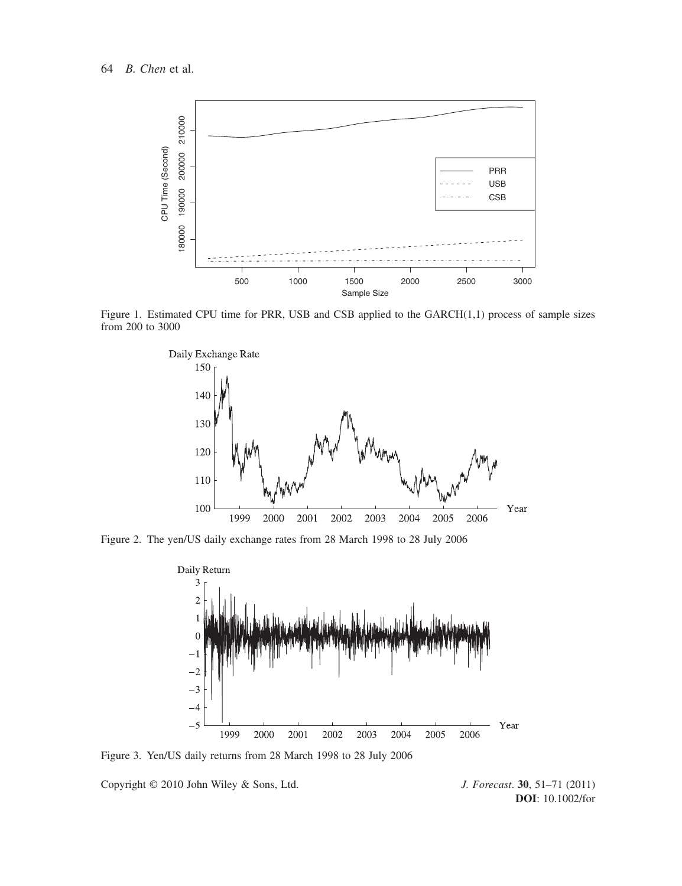

Figure 1. Estimated CPU time for PRR, USB and CSB applied to the GARCH(1,1) process of sample sizes from 200 to 3000



Figure 2. The yen/US daily exchange rates from 28 March 1998 to 28 July 2006



Figure 3. Yen/US daily returns from 28 March 1998 to 28 July 2006

Copyright © 2010 John Wiley & Sons, Ltd. *J. Forecast*. **30**, 51–71 (2011)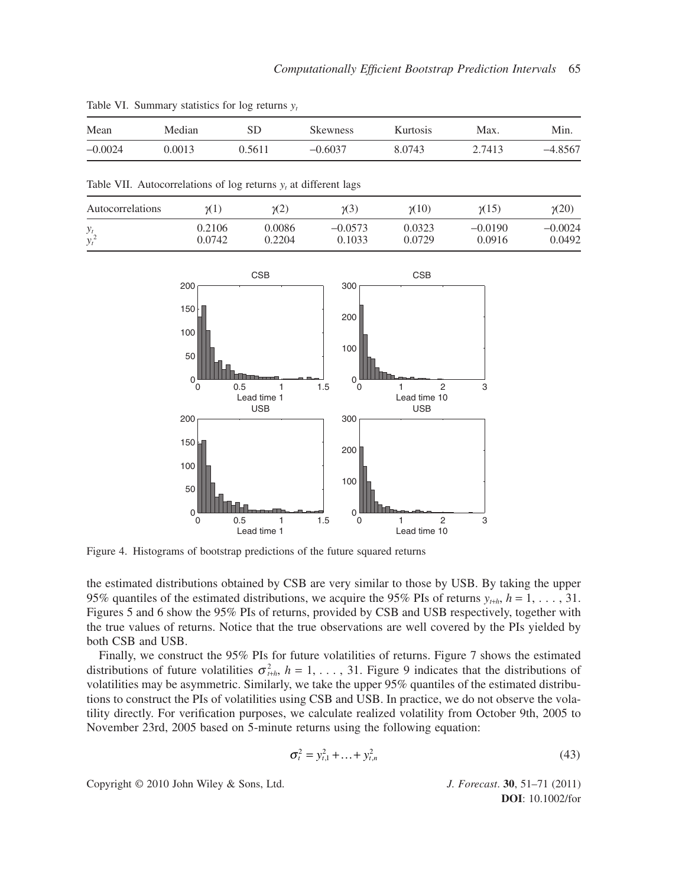| Mean      | Median | SD     | <b>Skewness</b> | Kurtosis | Max.   | Min.      |
|-----------|--------|--------|-----------------|----------|--------|-----------|
| $-0.0024$ | 0.0013 | 0.5611 | $-0.6037$       | 8.0743   | 2.7413 | $-4.8567$ |

Table VI. Summary statistics for log returns *yt*

Table VII. Autocorrelations of log returns  $y_t$  at different lags

| Autocorrelations | $\chi(1)$ | $\chi(2)$ | $\chi(3)$ | $\chi(10)$ | $\chi$ 15) | $\chi(20)$ |
|------------------|-----------|-----------|-----------|------------|------------|------------|
| $y_t$            | 0.2106    | 0.0086    | $-0.0573$ | 0.0323     | $-0.0190$  | $-0.0024$  |
| $y_t^2$          | 0.0742    | 0.2204    | 0.1033    | 0.0729     | 0.0916     | 0.0492     |



Figure 4. Histograms of bootstrap predictions of the future squared returns

the estimated distributions obtained by CSB are very similar to those by USB. By taking the upper 95% quantiles of the estimated distributions, we acquire the 95% PIs of returns  $y_{t+h}$ ,  $h = 1, \ldots, 31$ . Figures 5 and 6 show the 95% PIs of returns, provided by CSB and USB respectively, together with the true values of returns. Notice that the true observations are well covered by the PIs yielded by both CSB and USB.

Finally, we construct the 95% PIs for future volatilities of returns. Figure 7 shows the estimated distributions of future volatilities  $\sigma_{t+h}^2$ ,  $h = 1, \ldots, 31$ . Figure 9 indicates that the distributions of volatilities may be asymmetric. Similarly, we take the upper 95% quantiles of the estimated distributions to construct the PIs of volatilities using CSB and USB. In practice, we do not observe the volatility directly. For verification purposes, we calculate realized volatility from October 9th, 2005 to November 23rd, 2005 based on 5-minute returns using the following equation:

$$
\sigma_t^2 = y_{t,1}^2 + \ldots + y_{t,n}^2 \tag{43}
$$

Copyright © 2010 John Wiley & Sons, Ltd. *J. Forecast*. **30**, 51–71 (2011)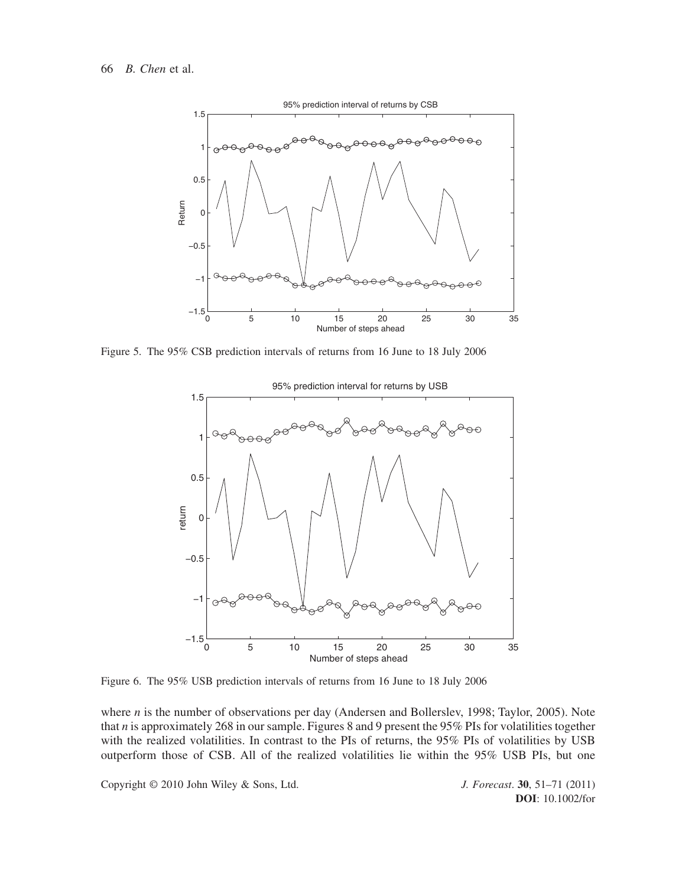

Figure 5. The 95% CSB prediction intervals of returns from 16 June to 18 July 2006



Figure 6. The 95% USB prediction intervals of returns from 16 June to 18 July 2006

where *n* is the number of observations per day (Andersen and Bollerslev, 1998; Taylor, 2005). Note that *n* is approximately 268 in our sample. Figures 8 and 9 present the 95% PIs for volatilities together with the realized volatilities. In contrast to the PIs of returns, the 95% PIs of volatilities by USB outperform those of CSB. All of the realized volatilities lie within the 95% USB PIs, but one

Copyright © 2010 John Wiley & Sons, Ltd. *J. Forecast*. **30**, 51–71 (2011)

**DOI**: 10.1002/for

95% prediction interval for returns by USB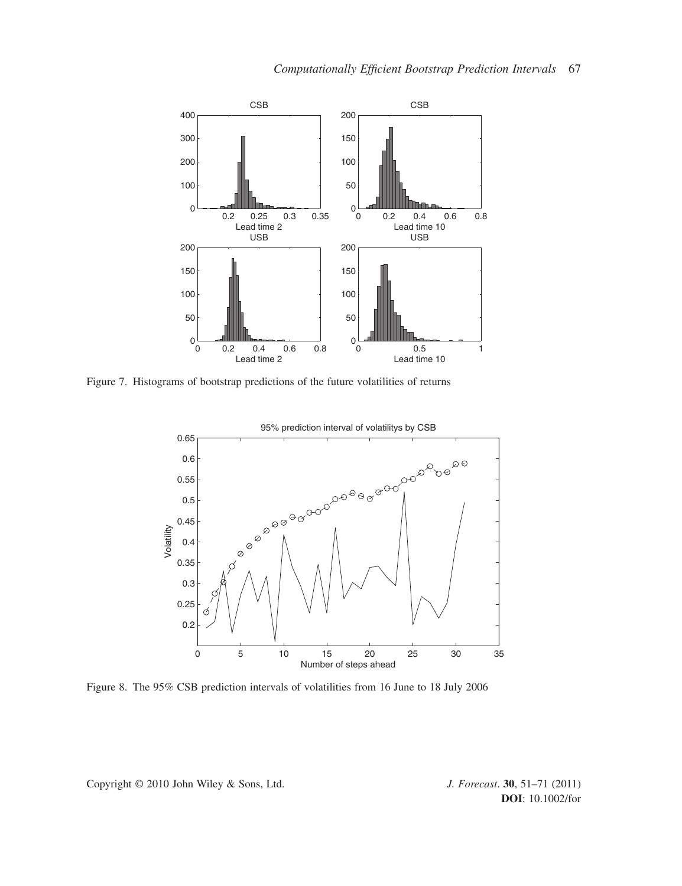

Figure 7. Histograms of bootstrap predictions of the future volatilities of returns



Figure 8. The 95% CSB prediction intervals of volatilities from 16 June to 18 July 2006

Copyright © 2010 John Wiley & Sons, Ltd. *J. Forecast*. **30**, 51–71 (2011)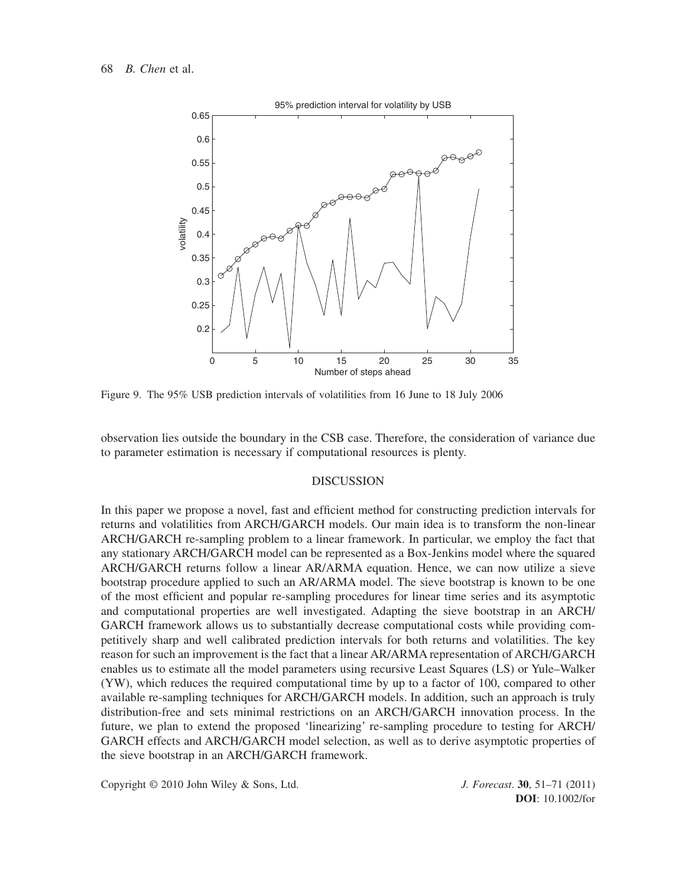

Figure 9. The 95% USB prediction intervals of volatilities from 16 June to 18 July 2006

observation lies outside the boundary in the CSB case. Therefore, the consideration of variance due to parameter estimation is necessary if computational resources is plenty.

#### DISCUSSION

In this paper we propose a novel, fast and efficient method for constructing prediction intervals for returns and volatilities from ARCH/GARCH models. Our main idea is to transform the non-linear ARCH/GARCH re-sampling problem to a linear framework. In particular, we employ the fact that any stationary ARCH/GARCH model can be represented as a Box-Jenkins model where the squared ARCH/GARCH returns follow a linear AR/ARMA equation. Hence, we can now utilize a sieve bootstrap procedure applied to such an AR/ARMA model. The sieve bootstrap is known to be one of the most efficient and popular re-sampling procedures for linear time series and its asymptotic and computational properties are well investigated. Adapting the sieve bootstrap in an ARCH/ GARCH framework allows us to substantially decrease computational costs while providing competitively sharp and well calibrated prediction intervals for both returns and volatilities. The key reason for such an improvement is the fact that a linear AR/ARMA representation of ARCH/GARCH enables us to estimate all the model parameters using recursive Least Squares (LS) or Yule–Walker (YW), which reduces the required computational time by up to a factor of 100, compared to other available re-sampling techniques for ARCH/GARCH models. In addition, such an approach is truly distribution-free and sets minimal restrictions on an ARCH/GARCH innovation process. In the future, we plan to extend the proposed 'linearizing' re-sampling procedure to testing for ARCH/ GARCH effects and ARCH/GARCH model selection, as well as to derive asymptotic properties of the sieve bootstrap in an ARCH/GARCH framework.

Copyright © 2010 John Wiley & Sons, Ltd. *J. Forecast*. **30**, 51–71 (2011)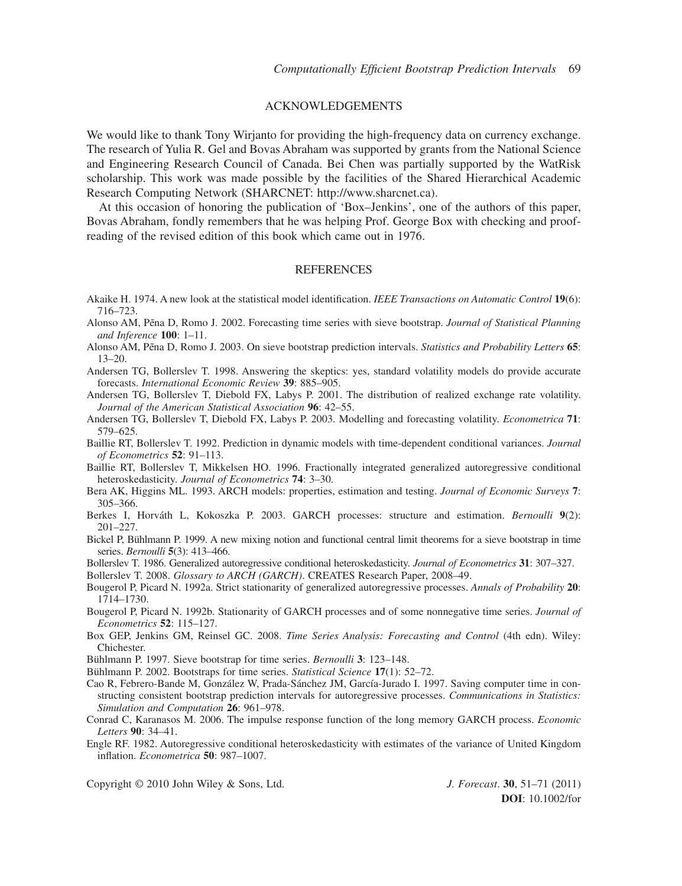#### ACKNOWLEDGEMENTS

We would like to thank Tony Wirjanto for providing the high-frequency data on currency exchange. The research of Yulia R. Gel and Bovas Abraham was supported by grants from the National Science and Engineering Research Council of Canada. Bei Chen was partially supported by the WatRisk scholarship. This work was made possible by the facilities of the Shared Hierarchical Academic Research Computing Network (SHARCNET: http://www.sharcnet.ca).

At this occasion of honoring the publication of 'Box–Jenkins', one of the authors of this paper, Bovas Abraham, fondly remembers that he was helping Prof. George Box with checking and proofreading of the revised edition of this book which came out in 1976.

#### **REFERENCES**

- Akaike H. 1974. A new look at the statistical model identification. *IEEE Transactions on Automatic Control* 19(6): 716–723.
- Alonso AM, Pena D, Romo J. 2002. Forecasting time series with sieve bootstrap. *Journal of Statistical Planning and Inference* **100**: 1–11.
- Alonso AM, Pena D, Romo J. 2003. On sieve bootstrap prediction intervals. *Statistics and Probability Letters* 65: 13–20.
- Andersen TG, Bollerslev T. 1998. Answering the skeptics: yes, standard volatility models do provide accurate forecasts. *International Economic Review* **39**: 885–905.
- Andersen TG, Bollerslev T, Diebold FX, Labys P. 2001. The distribution of realized exchange rate volatility. *Journal of the American Statistical Association* **96**: 42–55.
- Andersen TG, Bollerslev T, Diebold FX, Labys P. 2003. Modelling and forecasting volatility. *Econometrica* **71**: 579–625.
- Baillie RT, Bollerslev T. 1992. Prediction in dynamic models with time-dependent conditional variances. *Journal of Econometrics* **52**: 91–113.
- Baillie RT, Bollerslev T, Mikkelsen HO. 1996. Fractionally integrated generalized autoregressive conditional heteroskedasticity. *Journal of Econometrics* **74**: 3–30.
- Bera AK, Higgins ML. 1993. ARCH models: properties, estimation and testing. *Journal of Economic Surveys* **7**: 305–366.
- Berkes I, Horváth L, Kokoszka P. 2003. GARCH processes: structure and estimation. *Bernoulli* **9**(2): 201–227.
- Bickel P, Bühlmann P. 1999. A new mixing notion and functional central limit theorems for a sieve bootstrap in time series. *Bernoulli* **5**(3): 413–466.
- Bollerslev T. 1986. Generalized autoregressive conditional heteroskedasticity. *Journal of Econometrics* **31**: 307–327.

Bollerslev T. 2008. *Glossary to ARCH (GARCH)*. CREATES Research Paper, 2008–49.

Bougerol P, Picard N. 1992a. Strict stationarity of generalized autoregressive processes. *Annals of Probability* **20**: 1714–1730.

- Bougerol P, Picard N. 1992b. Stationarity of GARCH processes and of some nonnegative time series. *Journal of Econometrics* **52**: 115–127.
- Box GEP, Jenkins GM, Reinsel GC. 2008. *Time Series Analysis: Forecasting and Control* (4th edn). Wiley: Chichester.

Bühlmann P. 1997. Sieve bootstrap for time series. *Bernoulli* **3**: 123–148.

Bühlmann P. 2002. Bootstraps for time series. *Statistical Science* **17**(1): 52–72.

- Cao R, Febrero-Bande M, González W, Prada-Sánchez JM, García-Jurado I. 1997. Saving computer time in constructing consistent bootstrap prediction intervals for autoregressive processes. *Communications in Statistics: Simulation and Computation* **26**: 961–978.
- Conrad C, Karanasos M. 2006. The impulse response function of the long memory GARCH process. *Economic Letters* **90**: 34–41.
- Engle RF. 1982. Autoregressive conditional heteroskedasticity with estimates of the variance of United Kingdom infl ation. *Econometrica* **50**: 987–1007.

Copyright © 2010 John Wiley & Sons, Ltd. *J. Forecast*. **30**, 51–71 (2011)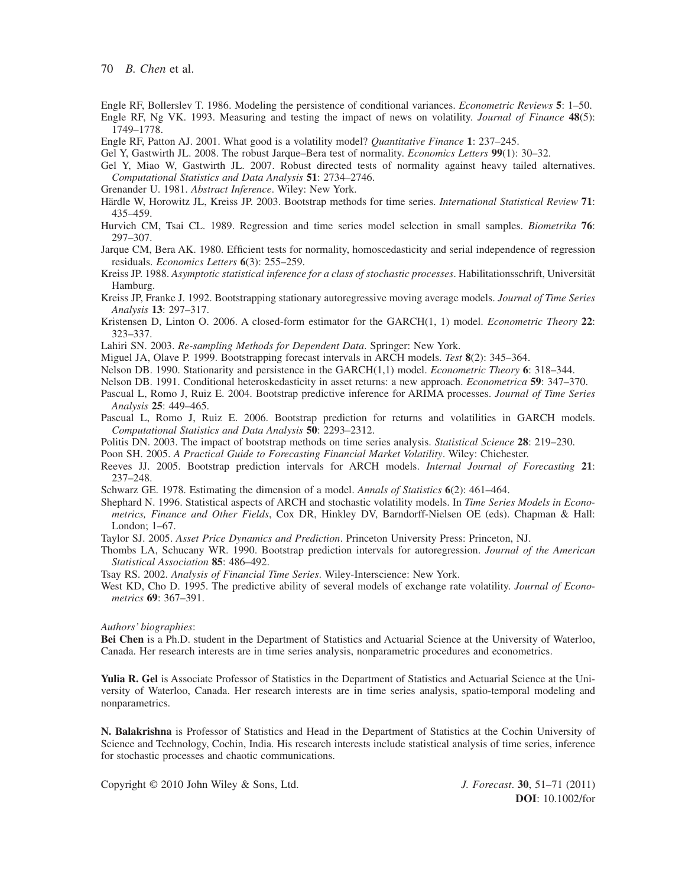Engle RF, Bollerslev T. 1986. Modeling the persistence of conditional variances. *Econometric Reviews* **5**: 1–50. Engle RF, Ng VK. 1993. Measuring and testing the impact of news on volatility. *Journal of Finance* **48**(5): 1749–1778.

Engle RF, Patton AJ. 2001. What good is a volatility model? *Quantitative Finance* **1**: 237–245.

Gel Y, Gastwirth JL. 2008. The robust Jarque–Bera test of normality. *Economics Letters* **99**(1): 30–32.

Gel Y, Miao W, Gastwirth JL. 2007. Robust directed tests of normality against heavy tailed alternatives. *Computational Statistics and Data Analysis* **51**: 2734–2746.

- Grenander U. 1981. *Abstract Inference*. Wiley: New York.
- Härdle W, Horowitz JL, Kreiss JP. 2003. Bootstrap methods for time series. *International Statistical Review* **71**: 435–459.

Hurvich CM, Tsai CL. 1989. Regression and time series model selection in small samples. *Biometrika* **76**: 297–307.

- Jarque CM, Bera AK. 1980. Efficient tests for normality, homoscedasticity and serial independence of regression residuals. *Economics Letters* **6**(3): 255–259.
- Kreiss JP. 1988. *Asymptotic statistical inference for a class of stochastic processes*. Habilitationsschrift, Universität Hamburg.
- Kreiss JP, Franke J. 1992. Bootstrapping stationary autoregressive moving average models. *Journal of Time Series Analysis* **13**: 297–317.
- Kristensen D, Linton O. 2006. A closed-form estimator for the GARCH(1, 1) model. *Econometric Theory* **22**: 323–337.
- Lahiri SN. 2003. *Re-sampling Methods for Dependent Data*. Springer: New York.
- Miguel JA, Olave P. 1999. Bootstrapping forecast intervals in ARCH models. *Test* **8**(2): 345–364.
- Nelson DB. 1990. Stationarity and persistence in the GARCH(1,1) model. *Econometric Theory* **6**: 318–344.
- Nelson DB. 1991. Conditional heteroskedasticity in asset returns: a new approach. *Econometrica* **59**: 347–370.
- Pascual L, Romo J, Ruiz E. 2004. Bootstrap predictive inference for ARIMA processes. *Journal of Time Series Analysis* **25**: 449–465.
- Pascual L, Romo J, Ruiz E. 2006. Bootstrap prediction for returns and volatilities in GARCH models. *Computational Statistics and Data Analysis* **50**: 2293–2312.

Politis DN. 2003. The impact of bootstrap methods on time series analysis. *Statistical Science* **28**: 219–230.

Poon SH. 2005. *A Practical Guide to Forecasting Financial Market Volatility*. Wiley: Chichester.

- Reeves JJ. 2005. Bootstrap prediction intervals for ARCH models. *Internal Journal of Forecasting* **21**: 237–248.
- Schwarz GE. 1978. Estimating the dimension of a model. *Annals of Statistics* **6**(2): 461–464.

Shephard N. 1996. Statistical aspects of ARCH and stochastic volatility models. In *Time Series Models in Econometrics, Finance and Other Fields*, Cox DR, Hinkley DV, Barndorff-Nielsen OE (eds). Chapman & Hall: London; 1–67.

Taylor SJ. 2005. *Asset Price Dynamics and Prediction*. Princeton University Press: Princeton, NJ.

Thombs LA, Schucany WR. 1990. Bootstrap prediction intervals for autoregression. *Journal of the American Statistical Association* **85**: 486–492.

Tsay RS. 2002. *Analysis of Financial Time Series*. Wiley-Interscience: New York.

West KD, Cho D. 1995. The predictive ability of several models of exchange rate volatility. *Journal of Econometrics* **69**: 367–391.

*Authors' biographies*:

**Bei Chen** is a Ph.D. student in the Department of Statistics and Actuarial Science at the University of Waterloo, Canada. Her research interests are in time series analysis, nonparametric procedures and econometrics.

**Yulia R. Gel** is Associate Professor of Statistics in the Department of Statistics and Actuarial Science at the University of Waterloo, Canada. Her research interests are in time series analysis, spatio-temporal modeling and nonparametrics.

**N. Balakrishna** is Professor of Statistics and Head in the Department of Statistics at the Cochin University of Science and Technology, Cochin, India. His research interests include statistical analysis of time series, inference for stochastic processes and chaotic communications.

Copyright © 2010 John Wiley & Sons, Ltd. *J. Forecast*. **30**, 51–71 (2011)